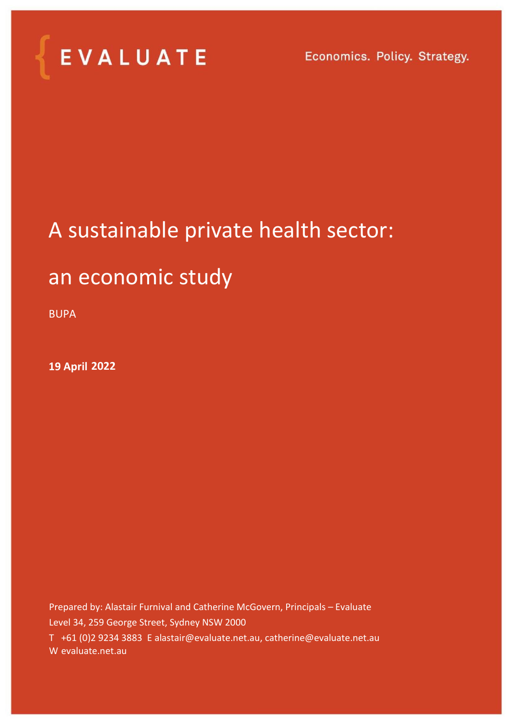

Economics. Policy. Strategy.

# A sustainable private health sector:

# an economic study

BUPA

**19 April 2022**

Prepared by: Alastair Furnival and Catherine McGovern, Principals – Evaluate Level 34, 259 George Street, Sydney NSW 2000 T +61 (0)2 9234 3883 E alastair@evaluate.net.au, catherine@evaluate.net.au W evaluate.net.au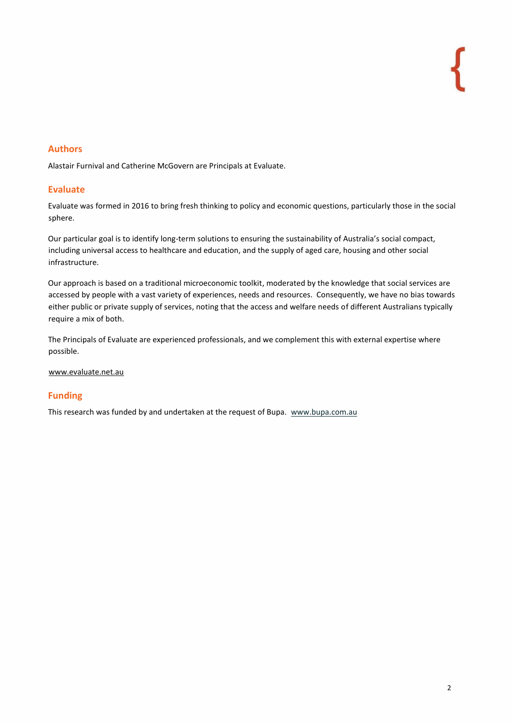#### <span id="page-1-0"></span>**Authors**

Alastair Furnival and Catherine McGovern are Principals at Evaluate.

#### <span id="page-1-1"></span>**Evaluate**

Evaluate was formed in 2016 to bring fresh thinking to policy and economic questions, particularly those in the social sphere.

Our particular goal is to identify long-term solutions to ensuring the sustainability of Australia's social compact, including universal access to healthcare and education, and the supply of aged care, housing and other social infrastructure.

Our approach is based on a traditional microeconomic toolkit, moderated by the knowledge that social services are accessed by people with a vast variety of experiences, needs and resources. Consequently, we have no bias towards either public or private supply of services, noting that the access and welfare needs of different Australians typically require a mix of both.

The Principals of Evaluate are experienced professionals, and we complement this with external expertise where possible.

[www.evaluate.net.au](http://www.evaluate.net.au/)

#### <span id="page-1-2"></span>**Funding**

This research was funded by and undertaken at the request of Bupa. www.bupa.com.au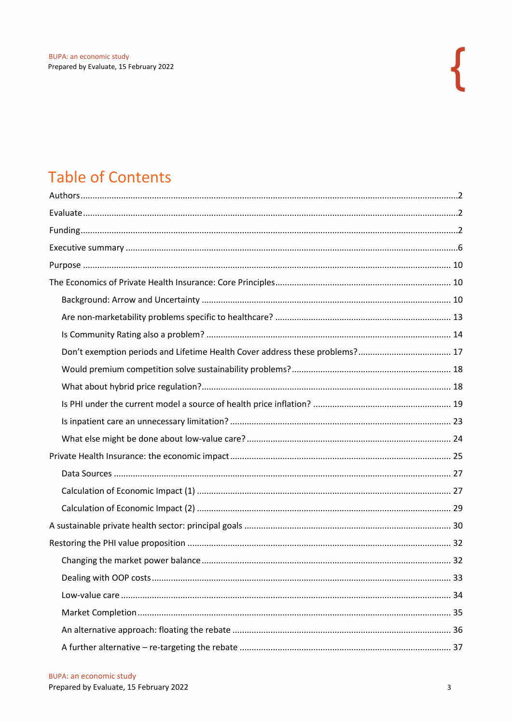# **Table of Contents**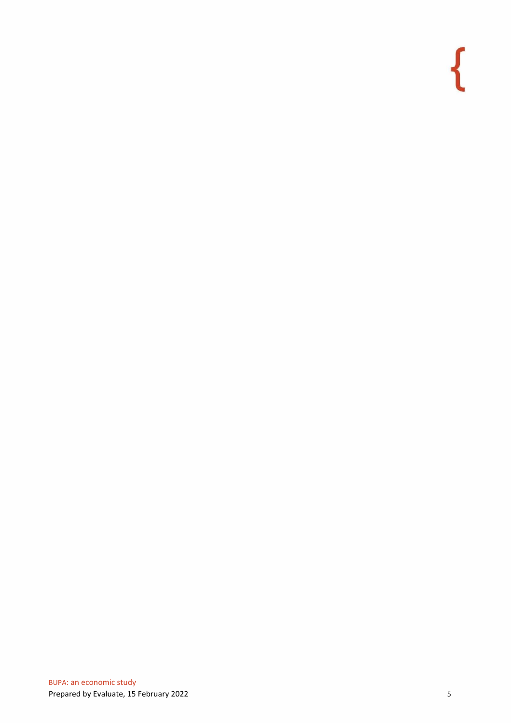$\left\{ \right.$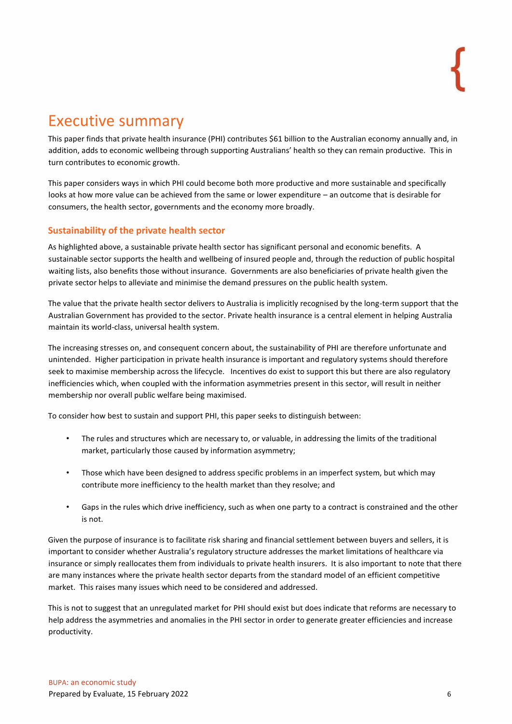### <span id="page-5-0"></span>Executive summary

This paper finds that private health insurance (PHI) contributes \$61 billion to the Australian economy annually and, in addition, adds to economic wellbeing through supporting Australians' health so they can remain productive. This in turn contributes to economic growth.

This paper considers ways in which PHI could become both more productive and more sustainable and specifically looks at how more value can be achieved from the same or lower expenditure – an outcome that is desirable for consumers, the health sector, governments and the economy more broadly.

#### **Sustainability of the private health sector**

As highlighted above, a sustainable private health sector has significant personal and economic benefits. A sustainable sector supports the health and wellbeing of insured people and, through the reduction of public hospital waiting lists, also benefits those without insurance. Governments are also beneficiaries of private health given the private sector helps to alleviate and minimise the demand pressures on the public health system.

The value that the private health sector delivers to Australia is implicitly recognised by the long-term support that the Australian Government has provided to the sector. Private health insurance is a central element in helping Australia maintain its world-class, universal health system.

The increasing stresses on, and consequent concern about, the sustainability of PHI are therefore unfortunate and unintended. Higher participation in private health insurance is important and regulatory systems should therefore seek to maximise membership across the lifecycle. Incentives do exist to support this but there are also regulatory inefficiencies which, when coupled with the information asymmetries present in this sector, will result in neither membership nor overall public welfare being maximised.

To consider how best to sustain and support PHI, this paper seeks to distinguish between:

- The rules and structures which are necessary to, or valuable, in addressing the limits of the traditional market, particularly those caused by information asymmetry;
- Those which have been designed to address specific problems in an imperfect system, but which may contribute more inefficiency to the health market than they resolve; and
- Gaps in the rules which drive inefficiency, such as when one party to a contract is constrained and the other is not.

Given the purpose of insurance is to facilitate risk sharing and financial settlement between buyers and sellers, it is important to consider whether Australia's regulatory structure addresses the market limitations of healthcare via insurance or simply reallocates them from individuals to private health insurers. It is also important to note that there are many instances where the private health sector departs from the standard model of an efficient competitive market. This raises many issues which need to be considered and addressed.

This is not to suggest that an unregulated market for PHI should exist but does indicate that reforms are necessary to help address the asymmetries and anomalies in the PHI sector in order to generate greater efficiencies and increase productivity.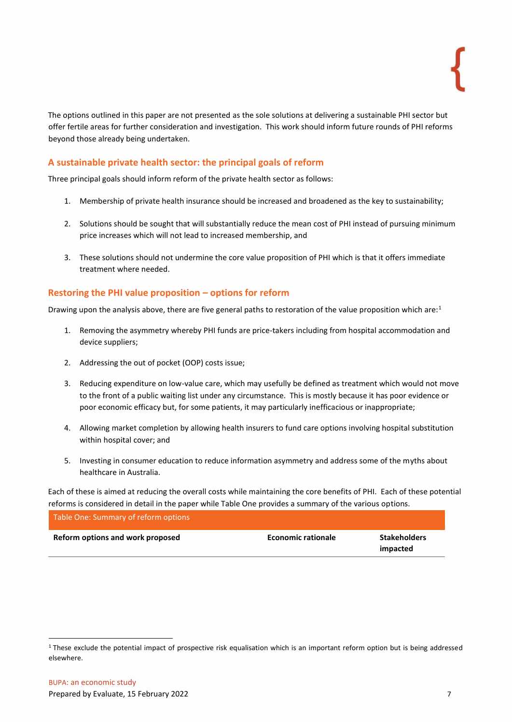The options outlined in this paper are not presented as the sole solutions at delivering a sustainable PHI sector but offer fertile areas for further consideration and investigation. This work should inform future rounds of PHI reforms beyond those already being undertaken.

#### **A sustainable private health sector: the principal goals of reform**

Three principal goals should inform reform of the private health sector as follows:

- 1. Membership of private health insurance should be increased and broadened as the key to sustainability;
- 2. Solutions should be sought that will substantially reduce the mean cost of PHI instead of pursuing minimum price increases which will not lead to increased membership, and
- 3. These solutions should not undermine the core value proposition of PHI which is that it offers immediate treatment where needed.

#### **Restoring the PHI value proposition – options for reform**

Drawing upon the analysis above, there are five general paths to restoration of the value proposition which are: $1$ 

- 1. Removing the asymmetry whereby PHI funds are price-takers including from hospital accommodation and device suppliers;
- 2. Addressing the out of pocket (OOP) costs issue;
- 3. Reducing expenditure on low-value care, which may usefully be defined as treatment which would not move to the front of a public waiting list under any circumstance. This is mostly because it has poor evidence or poor economic efficacy but, for some patients, it may particularly inefficacious or inappropriate;
- 4. Allowing market completion by allowing health insurers to fund care options involving hospital substitution within hospital cover; and
- 5. Investing in consumer education to reduce information asymmetry and address some of the myths about healthcare in Australia.

Each of these is aimed at reducing the overall costs while maintaining the core benefits of PHI. Each of these potential reforms is considered in detail in the paper while Table One provides a summary of the various options.

| Table One: Summary of reform options |                    |                                 |
|--------------------------------------|--------------------|---------------------------------|
| Reform options and work proposed     | Economic rationale | <b>Stakeholders</b><br>impacted |

<sup>1</sup> These exclude the potential impact of prospective risk equalisation which is an important reform option but is being addressed elsewhere.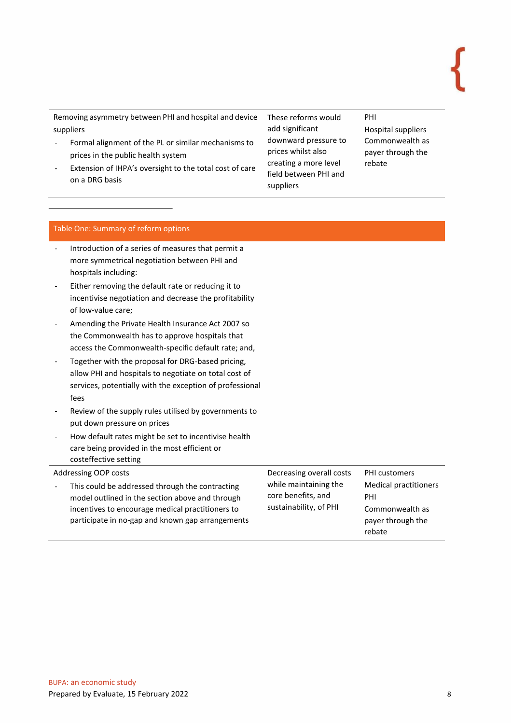Removing asymmetry between PHI and hospital and device suppliers

- Formal alignment of the PL or similar mechanisms to prices in the public health system
- Extension of IHPA's oversight to the total cost of care on a DRG basis

These reforms would add significant downward pressure to prices whilst also creating a more level field between PHI and suppliers

PHI Hospital suppliers Commonwealth as payer through the rebate

#### Table One: Summary of reform options

- Introduction of a series of measures that permit a more symmetrical negotiation between PHI and hospitals including:
- Either removing the default rate or reducing it to incentivise negotiation and decrease the profitability of low-value care;
- Amending the Private Health Insurance Act 2007 so the Commonwealth has to approve hospitals that access the Commonwealth-specific default rate; and,
- Together with the proposal for DRG-based pricing, allow PHI and hospitals to negotiate on total cost of services, potentially with the exception of professional fees
- Review of the supply rules utilised by governments to put down pressure on prices
- How default rates might be set to incentivise health care being provided in the most efficient or costeffective setting

#### Addressing OOP costs This could be addressed through the contracting model outlined in the section above and through incentives to encourage medical practitioners to participate in no-gap and known gap arrangements Decreasing overall costs while maintaining the core benefits, and sustainability, of PHI PHI customers Medical practitioners PHI Commonwealth as payer through the rebate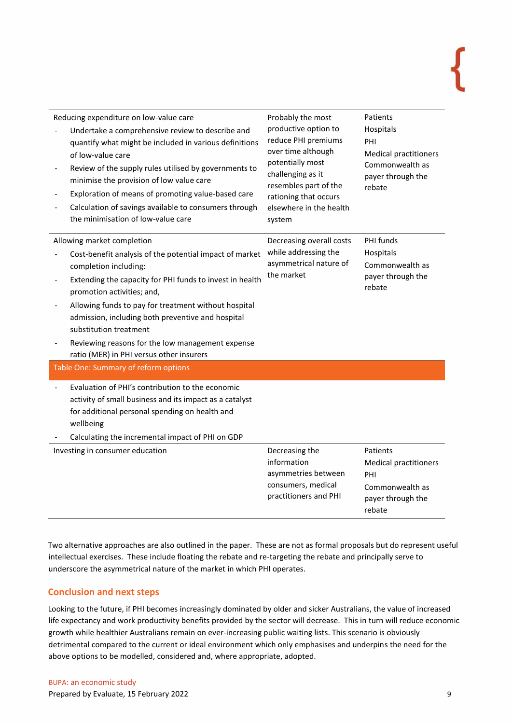| Reducing expenditure on low-value care<br>Undertake a comprehensive review to describe and<br>quantify what might be included in various definitions<br>of low-value care<br>Review of the supply rules utilised by governments to<br>minimise the provision of low value care<br>Exploration of means of promoting value-based care<br>Calculation of savings available to consumers through<br>the minimisation of low-value care | Probably the most<br>productive option to<br>reduce PHI premiums<br>over time although<br>potentially most<br>challenging as it<br>resembles part of the<br>rationing that occurs<br>elsewhere in the health<br>system | Patients<br>Hospitals<br>PHI<br><b>Medical practitioners</b><br>Commonwealth as<br>payer through the<br>rebate |
|-------------------------------------------------------------------------------------------------------------------------------------------------------------------------------------------------------------------------------------------------------------------------------------------------------------------------------------------------------------------------------------------------------------------------------------|------------------------------------------------------------------------------------------------------------------------------------------------------------------------------------------------------------------------|----------------------------------------------------------------------------------------------------------------|
| Allowing market completion<br>Cost-benefit analysis of the potential impact of market<br>completion including:<br>Extending the capacity for PHI funds to invest in health<br>promotion activities; and,<br>Allowing funds to pay for treatment without hospital<br>admission, including both preventive and hospital<br>substitution treatment<br>Reviewing reasons for the low management expense                                 | Decreasing overall costs<br>while addressing the<br>asymmetrical nature of<br>the market                                                                                                                               | PHI funds<br>Hospitals<br>Commonwealth as<br>payer through the<br>rebate                                       |
| ratio (MER) in PHI versus other insurers                                                                                                                                                                                                                                                                                                                                                                                            |                                                                                                                                                                                                                        |                                                                                                                |
| Table One: Summary of reform options                                                                                                                                                                                                                                                                                                                                                                                                |                                                                                                                                                                                                                        |                                                                                                                |
| Evaluation of PHI's contribution to the economic<br>activity of small business and its impact as a catalyst<br>for additional personal spending on health and<br>wellbeing<br>Calculating the incremental impact of PHI on GDP                                                                                                                                                                                                      |                                                                                                                                                                                                                        |                                                                                                                |
| Investing in consumer education                                                                                                                                                                                                                                                                                                                                                                                                     | Decreasing the<br>information<br>asymmetries between<br>consumers, medical<br>practitioners and PHI                                                                                                                    | Patients<br><b>Medical practitioners</b><br>PHI<br>Commonwealth as<br>payer through the<br>rebate              |

Two alternative approaches are also outlined in the paper. These are not as formal proposals but do represent useful intellectual exercises. These include floating the rebate and re-targeting the rebate and principally serve to underscore the asymmetrical nature of the market in which PHI operates.

#### **Conclusion and next steps**

Looking to the future, if PHI becomes increasingly dominated by older and sicker Australians, the value of increased life expectancy and work productivity benefits provided by the sector will decrease. This in turn will reduce economic growth while healthier Australians remain on ever-increasing public waiting lists. This scenario is obviously detrimental compared to the current or ideal environment which only emphasises and underpins the need for the above options to be modelled, considered and, where appropriate, adopted.

#### BUPA: an economic study

Prepared by Evaluate, 15 February 2022 9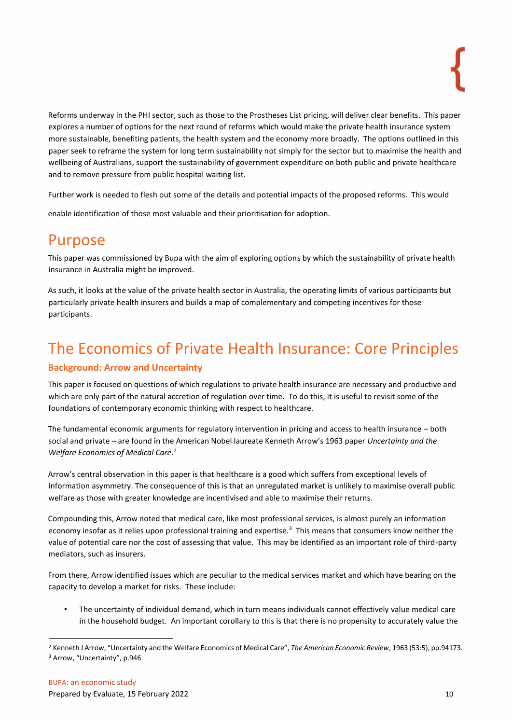Reforms underway in the PHI sector, such as those to the Prostheses List pricing, will deliver clear benefits. This paper explores a number of options for the next round of reforms which would make the private health insurance system more sustainable, benefiting patients, the health system and the economy more broadly. The options outlined in this paper seek to reframe the system for long term sustainability not simply for the sector but to maximise the health and wellbeing of Australians, support the sustainability of government expenditure on both public and private healthcare and to remove pressure from public hospital waiting list.

Further work is needed to flesh out some of the details and potential impacts of the proposed reforms. This would

enable identification of those most valuable and their prioritisation for adoption.

### <span id="page-9-0"></span>Purpose

This paper was commissioned by Bupa with the aim of exploring options by which the sustainability of private health insurance in Australia might be improved.

As such, it looks at the value of the private health sector in Australia, the operating limits of various participants but particularly private health insurers and builds a map of complementary and competing incentives for those participants.

### <span id="page-9-1"></span>The Economics of Private Health Insurance: Core Principles

#### <span id="page-9-2"></span>**Background: Arrow and Uncertainty**

This paper is focused on questions of which regulations to private health insurance are necessary and productive and which are only part of the natural accretion of regulation over time. To do this, it is useful to revisit some of the foundations of contemporary economic thinking with respect to healthcare.

The fundamental economic arguments for regulatory intervention in pricing and access to health insurance – both social and private – are found in the American Nobel laureate Kenneth Arrow's 1963 paper *Uncertainty and the Welfare Economics of Medical Care*. 2

Arrow's central observation in this paper is that healthcare is a good which suffers from exceptional levels of information asymmetry. The consequence of this is that an unregulated market is unlikely to maximise overall public welfare as those with greater knowledge are incentivised and able to maximise their returns.

Compounding this, Arrow noted that medical care, like most professional services, is almost purely an information economy insofar as it relies upon professional training and expertise.<sup>3</sup> This means that consumers know neither the value of potential care nor the cost of assessing that value. This may be identified as an important role of third-party mediators, such as insurers.

From there, Arrow identified issues which are peculiar to the medical services market and which have bearing on the capacity to develop a market for risks. These include:

• The uncertainty of individual demand, which in turn means individuals cannot effectively value medical care in the household budget. An important corollary to this is that there is no propensity to accurately value the

<sup>2</sup> Kenneth J Arrow, "Uncertainty and the Welfare Economics of Medical Care", *The American Economic Review*, 1963 (53:5), pp.94173. <sup>3</sup> Arrow, "Uncertainty", p.946.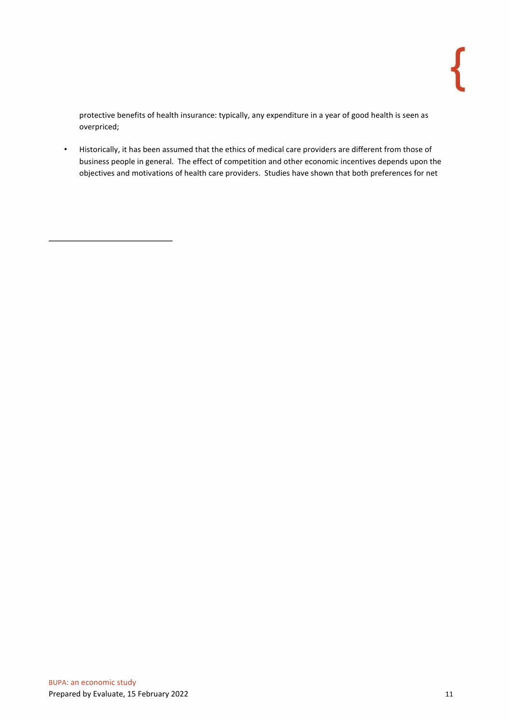protective benefits of health insurance: typically, any expenditure in a year of good health is seen as overpriced;

• Historically, it has been assumed that the ethics of medical care providers are different from those of business people in general. The effect of competition and other economic incentives depends upon the objectives and motivations of health care providers. Studies have shown that both preferences for net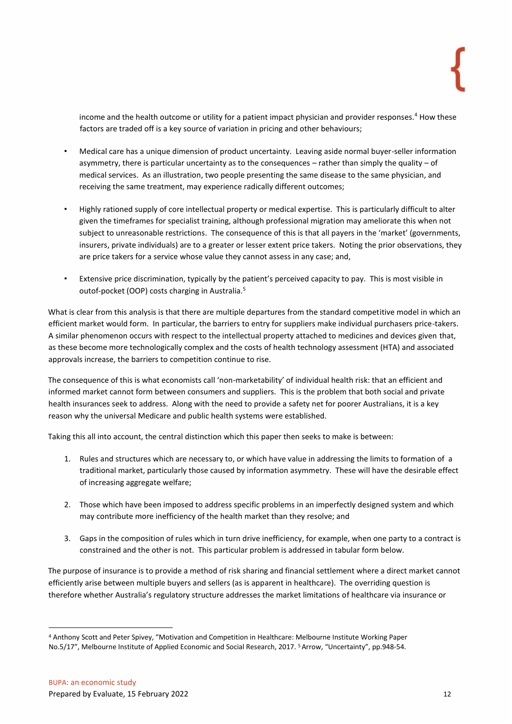income and the health outcome or utility for a patient impact physician and provider responses.<sup>4</sup> How these factors are traded off is a key source of variation in pricing and other behaviours;

- Medical care has a unique dimension of product uncertainty. Leaving aside normal buyer-seller information asymmetry, there is particular uncertainty as to the consequences – rather than simply the quality – of medical services. As an illustration, two people presenting the same disease to the same physician, and receiving the same treatment, may experience radically different outcomes;
- Highly rationed supply of core intellectual property or medical expertise. This is particularly difficult to alter given the timeframes for specialist training, although professional migration may ameliorate this when not subject to unreasonable restrictions. The consequence of this is that all payers in the 'market' (governments, insurers, private individuals) are to a greater or lesser extent price takers. Noting the prior observations, they are price takers for a service whose value they cannot assess in any case; and,
- Extensive price discrimination, typically by the patient's perceived capacity to pay. This is most visible in outof-pocket (OOP) costs charging in Australia.<sup>5</sup>

What is clear from this analysis is that there are multiple departures from the standard competitive model in which an efficient market would form. In particular, the barriers to entry for suppliers make individual purchasers price-takers. A similar phenomenon occurs with respect to the intellectual property attached to medicines and devices given that, as these become more technologically complex and the costs of health technology assessment (HTA) and associated approvals increase, the barriers to competition continue to rise.

The consequence of this is what economists call 'non-marketability' of individual health risk: that an efficient and informed market cannot form between consumers and suppliers. This is the problem that both social and private health insurances seek to address. Along with the need to provide a safety net for poorer Australians, it is a key reason why the universal Medicare and public health systems were established.

Taking this all into account, the central distinction which this paper then seeks to make is between:

- 1. Rules and structures which are necessary to, or which have value in addressing the limits to formation of a traditional market, particularly those caused by information asymmetry. These will have the desirable effect of increasing aggregate welfare;
- 2. Those which have been imposed to address specific problems in an imperfectly designed system and which may contribute more inefficiency of the health market than they resolve; and
- 3. Gaps in the composition of rules which in turn drive inefficiency, for example, when one party to a contract is constrained and the other is not. This particular problem is addressed in tabular form below.

The purpose of insurance is to provide a method of risk sharing and financial settlement where a direct market cannot efficiently arise between multiple buyers and sellers (as is apparent in healthcare). The overriding question is therefore whether Australia's regulatory structure addresses the market limitations of healthcare via insurance or

<sup>4</sup> Anthony Scott and Peter Spivey, "Motivation and Competition in Healthcare: Melbourne Institute Working Paper No.5/17", Melbourne Institute of Applied Economic and Social Research, 2017. <sup>5</sup>Arrow, "Uncertainty", pp.948-54.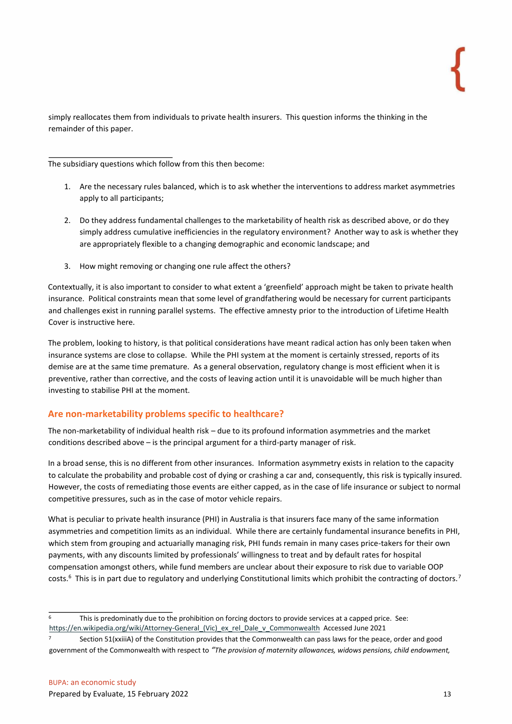simply reallocates them from individuals to private health insurers. This question informs the thinking in the remainder of this paper.

The subsidiary questions which follow from this then become:

- 1. Are the necessary rules balanced, which is to ask whether the interventions to address market asymmetries apply to all participants;
- 2. Do they address fundamental challenges to the marketability of health risk as described above, or do they simply address cumulative inefficiencies in the regulatory environment? Another way to ask is whether they are appropriately flexible to a changing demographic and economic landscape; and
- 3. How might removing or changing one rule affect the others?

Contextually, it is also important to consider to what extent a 'greenfield' approach might be taken to private health insurance. Political constraints mean that some level of grandfathering would be necessary for current participants and challenges exist in running parallel systems. The effective amnesty prior to the introduction of Lifetime Health Cover is instructive here.

The problem, looking to history, is that political considerations have meant radical action has only been taken when insurance systems are close to collapse. While the PHI system at the moment is certainly stressed, reports of its demise are at the same time premature. As a general observation, regulatory change is most efficient when it is preventive, rather than corrective, and the costs of leaving action until it is unavoidable will be much higher than investing to stabilise PHI at the moment.

#### <span id="page-12-0"></span>**Are non-marketability problems specific to healthcare?**

The non-marketability of individual health risk – due to its profound information asymmetries and the market conditions described above – is the principal argument for a third-party manager of risk.

In a broad sense, this is no different from other insurances. Information asymmetry exists in relation to the capacity to calculate the probability and probable cost of dying or crashing a car and, consequently, this risk is typically insured. However, the costs of remediating those events are either capped, as in the case of life insurance or subject to normal competitive pressures, such as in the case of motor vehicle repairs.

What is peculiar to private health insurance (PHI) in Australia is that insurers face many of the same information asymmetries and competition limits as an individual. While there are certainly fundamental insurance benefits in PHI, which stem from grouping and actuarially managing risk, PHI funds remain in many cases price-takers for their own payments, with any discounts limited by professionals' willingness to treat and by default rates for hospital compensation amongst others, while fund members are unclear about their exposure to risk due to variable OOP costs.<sup>6</sup> This is in part due to regulatory and underlying Constitutional limits which prohibit the contracting of doctors.<sup>7</sup>

<sup>6</sup> This is predominatly due to the prohibition on forcing doctors to provide services at a capped price. See: https://en.wikipedia.org/wiki/Attorney-General (Vic) ex rel Dale v Commonwealth Accessed June 2021

<sup>&</sup>lt;sup>7</sup> Section 51(xxiiiA) of the Constitution provides that the Commonwealth can pass laws for the peace, order and good government of the Commonwealth with respect to *"The provision of maternity allowances, widows pensions, child endowment,*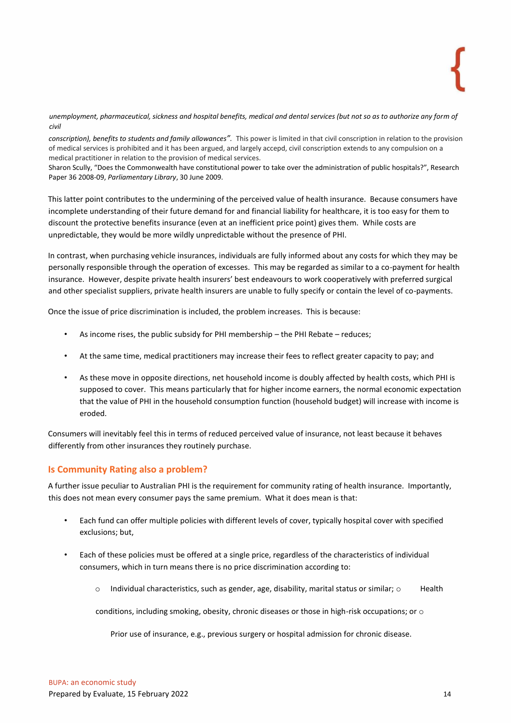*unemployment, pharmaceutical, sickness and hospital benefits, medical and dental services (but not so as to authorize any form of civil* 

*conscription), benefits to students and family allowances".* This power is limited in that civil conscription in relation to the provision of medical services is prohibited and it has been argued, and largely accepd, civil conscription extends to any compulsion on a medical practitioner in relation to the provision of medical services.

Sharon Scully, "Does the Commonwealth have constitutional power to take over the administration of public hospitals?", Research Paper 36 2008-09, *Parliamentary Library*, 30 June 2009.

This latter point contributes to the undermining of the perceived value of health insurance. Because consumers have incomplete understanding of their future demand for and financial liability for healthcare, it is too easy for them to discount the protective benefits insurance (even at an inefficient price point) gives them. While costs are unpredictable, they would be more wildly unpredictable without the presence of PHI.

In contrast, when purchasing vehicle insurances, individuals are fully informed about any costs for which they may be personally responsible through the operation of excesses. This may be regarded as similar to a co-payment for health insurance. However, despite private health insurers' best endeavours to work cooperatively with preferred surgical and other specialist suppliers, private health insurers are unable to fully specify or contain the level of co-payments.

Once the issue of price discrimination is included, the problem increases. This is because:

- As income rises, the public subsidy for PHI membership the PHI Rebate reduces;
- At the same time, medical practitioners may increase their fees to reflect greater capacity to pay; and
- As these move in opposite directions, net household income is doubly affected by health costs, which PHI is supposed to cover. This means particularly that for higher income earners, the normal economic expectation that the value of PHI in the household consumption function (household budget) will increase with income is eroded.

Consumers will inevitably feel this in terms of reduced perceived value of insurance, not least because it behaves differently from other insurances they routinely purchase.

#### <span id="page-13-0"></span>**Is Community Rating also a problem?**

A further issue peculiar to Australian PHI is the requirement for community rating of health insurance. Importantly, this does not mean every consumer pays the same premium. What it does mean is that:

- Each fund can offer multiple policies with different levels of cover, typically hospital cover with specified exclusions; but,
- Each of these policies must be offered at a single price, regardless of the characteristics of individual consumers, which in turn means there is no price discrimination according to:
	- $\circ$  Individual characteristics, such as gender, age, disability, marital status or similar;  $\circ$  Health

conditions, including smoking, obesity, chronic diseases or those in high-risk occupations; or  $\circ$ 

Prior use of insurance, e.g., previous surgery or hospital admission for chronic disease.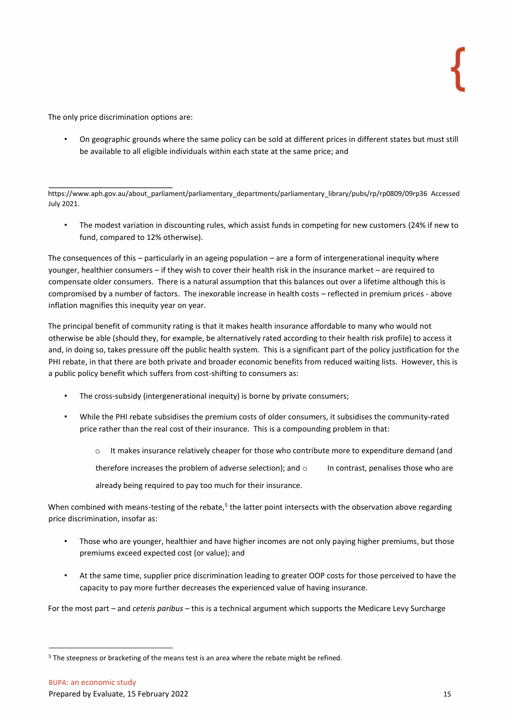The only price discrimination options are:

• On geographic grounds where the same policy can be sold at different prices in different states but must still be available to all eligible individuals within each state at the same price; and

https://www.aph.gov.au/about\_parliament/parliamentary\_departments/parliamentary\_library/pubs/rp/rp0809/09rp36 Accessed July 2021.

• The modest variation in discounting rules, which assist funds in competing for new customers (24% if new to fund, compared to 12% otherwise).

The consequences of this – particularly in an ageing population – are a form of intergenerational inequity where younger, healthier consumers – if they wish to cover their health risk in the insurance market – are required to compensate older consumers. There is a natural assumption that this balances out over a lifetime although this is compromised by a number of factors. The inexorable increase in health costs – reflected in premium prices - above inflation magnifies this inequity year on year.

The principal benefit of community rating is that it makes health insurance affordable to many who would not otherwise be able (should they, for example, be alternatively rated according to their health risk profile) to access it and, in doing so, takes pressure off the public health system. This is a significant part of the policy justification for the PHI rebate, in that there are both private and broader economic benefits from reduced waiting lists. However, this is a public policy benefit which suffers from cost-shifting to consumers as:

- The cross-subsidy (intergenerational inequity) is borne by private consumers;
- While the PHI rebate subsidises the premium costs of older consumers, it subsidises the community-rated price rather than the real cost of their insurance. This is a compounding problem in that:

o It makes insurance relatively cheaper for those who contribute more to expenditure demand (and therefore increases the problem of adverse selection); and  $\circ$  In contrast, penalises those who are already being required to pay too much for their insurance.

When combined with means-testing of the rebate,<sup>5</sup> the latter point intersects with the observation above regarding price discrimination, insofar as:

- Those who are younger, healthier and have higher incomes are not only paying higher premiums, but those premiums exceed expected cost (or value); and
- At the same time, supplier price discrimination leading to greater OOP costs for those perceived to have the capacity to pay more further decreases the experienced value of having insurance.

For the most part – and *ceteris paribus* – this is a technical argument which supports the Medicare Levy Surcharge

<sup>&</sup>lt;sup>5</sup> The steepness or bracketing of the means test is an area where the rebate might be refined.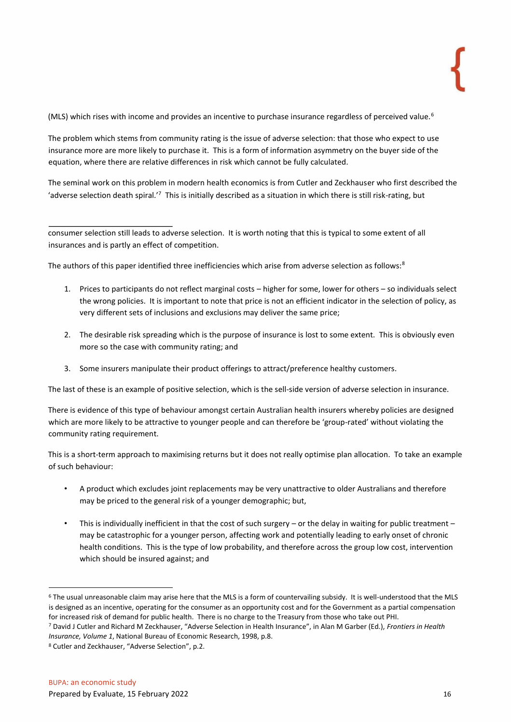(MLS) which rises with income and provides an incentive to purchase insurance regardless of perceived value.<sup>6</sup>

The problem which stems from community rating is the issue of adverse selection: that those who expect to use insurance more are more likely to purchase it. This is a form of information asymmetry on the buyer side of the equation, where there are relative differences in risk which cannot be fully calculated.

The seminal work on this problem in modern health economics is from Cutler and Zeckhauser who first described the 'adverse selection death spiral.<sup>7</sup> This is initially described as a situation in which there is still risk-rating, but

consumer selection still leads to adverse selection. It is worth noting that this is typical to some extent of all insurances and is partly an effect of competition.

The authors of this paper identified three inefficiencies which arise from adverse selection as follows:<sup>8</sup>

- 1. Prices to participants do not reflect marginal costs higher for some, lower for others so individuals select the wrong policies. It is important to note that price is not an efficient indicator in the selection of policy, as very different sets of inclusions and exclusions may deliver the same price;
- 2. The desirable risk spreading which is the purpose of insurance is lost to some extent. This is obviously even more so the case with community rating; and
- 3. Some insurers manipulate their product offerings to attract/preference healthy customers.

The last of these is an example of positive selection, which is the sell-side version of adverse selection in insurance.

There is evidence of this type of behaviour amongst certain Australian health insurers whereby policies are designed which are more likely to be attractive to younger people and can therefore be 'group-rated' without violating the community rating requirement.

This is a short-term approach to maximising returns but it does not really optimise plan allocation. To take an example of such behaviour:

- A product which excludes joint replacements may be very unattractive to older Australians and therefore may be priced to the general risk of a younger demographic; but,
- This is individually inefficient in that the cost of such surgery or the delay in waiting for public treatment may be catastrophic for a younger person, affecting work and potentially leading to early onset of chronic health conditions. This is the type of low probability, and therefore across the group low cost, intervention which should be insured against; and

<sup>6</sup> The usual unreasonable claim may arise here that the MLS is a form of countervailing subsidy. It is well-understood that the MLS is designed as an incentive, operating for the consumer as an opportunity cost and for the Government as a partial compensation for increased risk of demand for public health. There is no charge to the Treasury from those who take out PHI.

<sup>7</sup> David J Cutler and Richard M Zeckhauser, "Adverse Selection in Health Insurance", in Alan M Garber (Ed.), *Frontiers in Health Insurance, Volume 1*, National Bureau of Economic Research, 1998, p.8.

<sup>8</sup> Cutler and Zeckhauser, "Adverse Selection", p.2.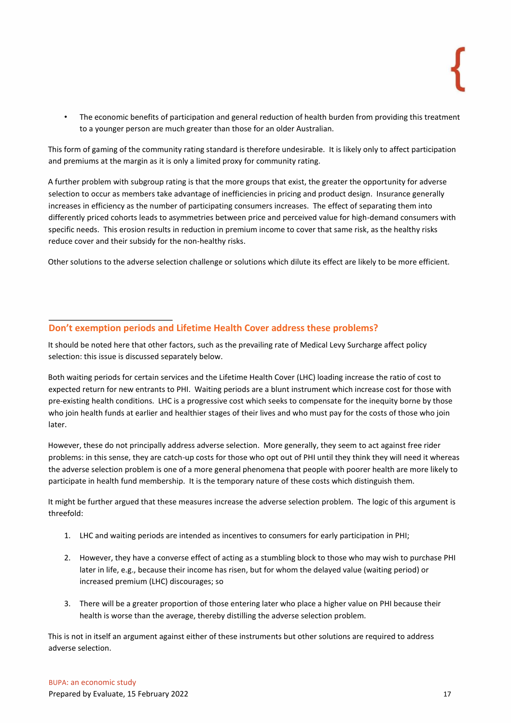• The economic benefits of participation and general reduction of health burden from providing this treatment to a younger person are much greater than those for an older Australian.

This form of gaming of the community rating standard is therefore undesirable. It is likely only to affect participation and premiums at the margin as it is only a limited proxy for community rating.

A further problem with subgroup rating is that the more groups that exist, the greater the opportunity for adverse selection to occur as members take advantage of inefficiencies in pricing and product design. Insurance generally increases in efficiency as the number of participating consumers increases. The effect of separating them into differently priced cohorts leads to asymmetries between price and perceived value for high-demand consumers with specific needs. This erosion results in reduction in premium income to cover that same risk, as the healthy risks reduce cover and their subsidy for the non-healthy risks.

Other solutions to the adverse selection challenge or solutions which dilute its effect are likely to be more efficient.

#### <span id="page-16-0"></span>**Don't exemption periods and Lifetime Health Cover address these problems?**

It should be noted here that other factors, such as the prevailing rate of Medical Levy Surcharge affect policy selection: this issue is discussed separately below.

Both waiting periods for certain services and the Lifetime Health Cover (LHC) loading increase the ratio of cost to expected return for new entrants to PHI. Waiting periods are a blunt instrument which increase cost for those with pre-existing health conditions. LHC is a progressive cost which seeks to compensate for the inequity borne by those who join health funds at earlier and healthier stages of their lives and who must pay for the costs of those who join later.

However, these do not principally address adverse selection. More generally, they seem to act against free rider problems: in this sense, they are catch-up costs for those who opt out of PHI until they think they will need it whereas the adverse selection problem is one of a more general phenomena that people with poorer health are more likely to participate in health fund membership. It is the temporary nature of these costs which distinguish them.

It might be further argued that these measures increase the adverse selection problem. The logic of this argument is threefold:

- 1. LHC and waiting periods are intended as incentives to consumers for early participation in PHI;
- 2. However, they have a converse effect of acting as a stumbling block to those who may wish to purchase PHI later in life, e.g., because their income has risen, but for whom the delayed value (waiting period) or increased premium (LHC) discourages; so
- 3. There will be a greater proportion of those entering later who place a higher value on PHI because their health is worse than the average, thereby distilling the adverse selection problem.

This is not in itself an argument against either of these instruments but other solutions are required to address adverse selection.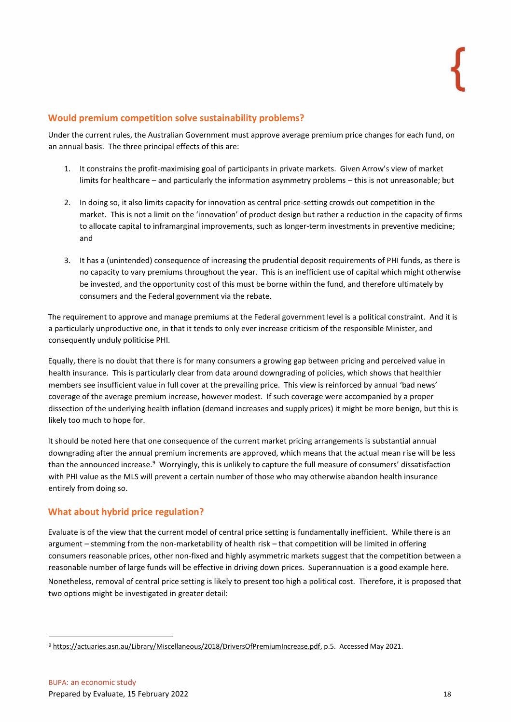#### <span id="page-17-0"></span>**Would premium competition solve sustainability problems?**

Under the current rules, the Australian Government must approve average premium price changes for each fund, on an annual basis. The three principal effects of this are:

- 1. It constrains the profit-maximising goal of participants in private markets. Given Arrow's view of market limits for healthcare – and particularly the information asymmetry problems – this is not unreasonable; but
- 2. In doing so, it also limits capacity for innovation as central price-setting crowds out competition in the market. This is not a limit on the 'innovation' of product design but rather a reduction in the capacity of firms to allocate capital to inframarginal improvements, such as longer-term investments in preventive medicine; and
- 3. It has a (unintended) consequence of increasing the prudential deposit requirements of PHI funds, as there is no capacity to vary premiums throughout the year. This is an inefficient use of capital which might otherwise be invested, and the opportunity cost of this must be borne within the fund, and therefore ultimately by consumers and the Federal government via the rebate.

The requirement to approve and manage premiums at the Federal government level is a political constraint. And it is a particularly unproductive one, in that it tends to only ever increase criticism of the responsible Minister, and consequently unduly politicise PHI.

Equally, there is no doubt that there is for many consumers a growing gap between pricing and perceived value in health insurance. This is particularly clear from data around downgrading of policies, which shows that healthier members see insufficient value in full cover at the prevailing price. This view is reinforced by annual 'bad news' coverage of the average premium increase, however modest. If such coverage were accompanied by a proper dissection of the underlying health inflation (demand increases and supply prices) it might be more benign, but this is likely too much to hope for.

It should be noted here that one consequence of the current market pricing arrangements is substantial annual downgrading after the annual premium increments are approved, which means that the actual mean rise will be less than the announced increase.<sup>9</sup> Worryingly, this is unlikely to capture the full measure of consumers' dissatisfaction with PHI value as the MLS will prevent a certain number of those who may otherwise abandon health insurance entirely from doing so.

#### <span id="page-17-1"></span>**What about hybrid price regulation?**

Evaluate is of the view that the current model of central price setting is fundamentally inefficient. While there is an argument – stemming from the non-marketability of health risk – that competition will be limited in offering consumers reasonable prices, other non-fixed and highly asymmetric markets suggest that the competition between a reasonable number of large funds will be effective in driving down prices. Superannuation is a good example here. Nonetheless, removal of central price setting is likely to present too high a political cost. Therefore, it is proposed that two options might be investigated in greater detail:

<sup>9</sup> [https://actuaries.asn.au/Library/Miscellaneous/2018/DriversOfPremiumIncrease.pdf,](https://actuaries.asn.au/Library/Miscellaneous/2018/DriversOfPremiumIncrease.pdf) p.5. Accessed May 2021.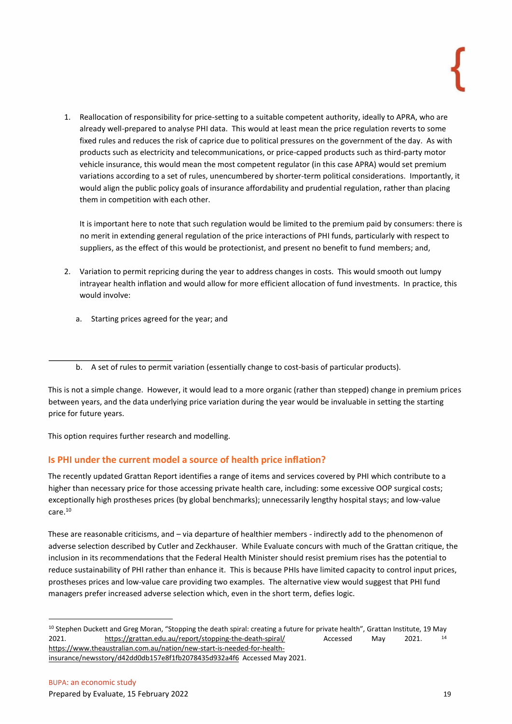1. Reallocation of responsibility for price-setting to a suitable competent authority, ideally to APRA, who are already well-prepared to analyse PHI data. This would at least mean the price regulation reverts to some fixed rules and reduces the risk of caprice due to political pressures on the government of the day. As with products such as electricity and telecommunications, or price-capped products such as third-party motor vehicle insurance, this would mean the most competent regulator (in this case APRA) would set premium variations according to a set of rules, unencumbered by shorter-term political considerations. Importantly, it would align the public policy goals of insurance affordability and prudential regulation, rather than placing them in competition with each other.

It is important here to note that such regulation would be limited to the premium paid by consumers: there is no merit in extending general regulation of the price interactions of PHI funds, particularly with respect to suppliers, as the effect of this would be protectionist, and present no benefit to fund members; and,

- 2. Variation to permit repricing during the year to address changes in costs. This would smooth out lumpy intrayear health inflation and would allow for more efficient allocation of fund investments. In practice, this would involve:
	- a. Starting prices agreed for the year; and
	- b. A set of rules to permit variation (essentially change to cost-basis of particular products).

This is not a simple change. However, it would lead to a more organic (rather than stepped) change in premium prices between years, and the data underlying price variation during the year would be invaluable in setting the starting price for future years.

This option requires further research and modelling.

#### <span id="page-18-0"></span>**Is PHI under the current model a source of health price inflation?**

The recently updated Grattan Report identifies a range of items and services covered by PHI which contribute to a higher than necessary price for those accessing private health care, including: some excessive OOP surgical costs; exceptionally high prostheses prices (by global benchmarks); unnecessarily lengthy hospital stays; and low-value care. $^{10}$ 

These are reasonable criticisms, and – via departure of healthier members - indirectly add to the phenomenon of adverse selection described by Cutler and Zeckhauser. While Evaluate concurs with much of the Grattan critique, the inclusion in its recommendations that the Federal Health Minister should resist premium rises has the potential to reduce sustainability of PHI rather than enhance it. This is because PHIs have limited capacity to control input prices, prostheses prices and low-value care providing two examples. The alternative view would suggest that PHI fund managers prefer increased adverse selection which, even in the short term, defies logic.

<sup>&</sup>lt;sup>10</sup> Stephen Duckett and Greg Moran, "Stopping the death spiral: creating a future for private health", Grattan Institute, 19 May 2021[. https://grattan.edu.au/report/stopping-the-death-spiral/ A](https://grattan.edu.au/report/stopping-the-death-spiral/)ccessed May 2021. [https://www.theaustralian.com.au/nation/new-start-is-needed-for-health](https://www.theaustralian.com.au/nation/new-start-is-needed-for-health-insurance/news-story/d42dd0db157e8f1fb2078435d932a4f6)[insurance/newsstory/d42dd0db157e8f1fb2078435d932a4f6 A](https://www.theaustralian.com.au/nation/new-start-is-needed-for-health-insurance/news-story/d42dd0db157e8f1fb2078435d932a4f6)ccessed May 2021.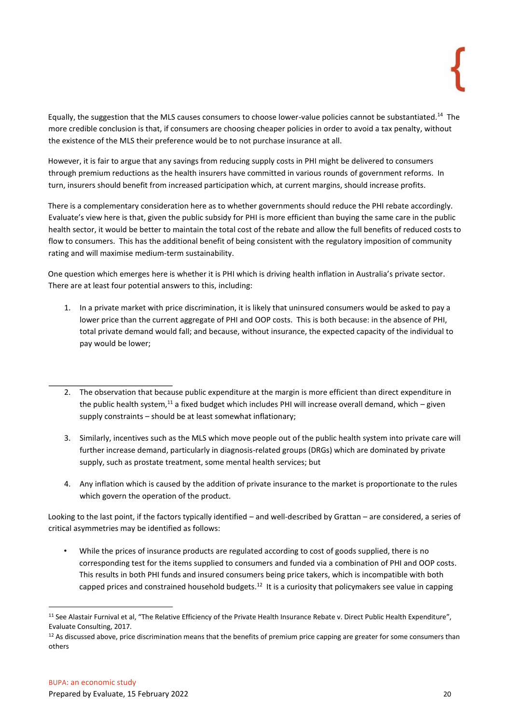Equally, the suggestion that the MLS causes consumers to choose lower-value policies cannot be substantiated.<sup>14</sup> The more credible conclusion is that, if consumers are choosing cheaper policies in order to avoid a tax penalty, without the existence of the MLS their preference would be to not purchase insurance at all.

However, it is fair to argue that any savings from reducing supply costs in PHI might be delivered to consumers through premium reductions as the health insurers have committed in various rounds of government reforms. In turn, insurers should benefit from increased participation which, at current margins, should increase profits.

There is a complementary consideration here as to whether governments should reduce the PHI rebate accordingly. Evaluate's view here is that, given the public subsidy for PHI is more efficient than buying the same care in the public health sector, it would be better to maintain the total cost of the rebate and allow the full benefits of reduced costs to flow to consumers. This has the additional benefit of being consistent with the regulatory imposition of community rating and will maximise medium-term sustainability.

One question which emerges here is whether it is PHI which is driving health inflation in Australia's private sector. There are at least four potential answers to this, including:

- 1. In a private market with price discrimination, it is likely that uninsured consumers would be asked to pay a lower price than the current aggregate of PHI and OOP costs. This is both because: in the absence of PHI, total private demand would fall; and because, without insurance, the expected capacity of the individual to pay would be lower;
- 2. The observation that because public expenditure at the margin is more efficient than direct expenditure in the public health system,<sup>11</sup> a fixed budget which includes PHI will increase overall demand, which – given supply constraints – should be at least somewhat inflationary;
- 3. Similarly, incentives such as the MLS which move people out of the public health system into private care will further increase demand, particularly in diagnosis-related groups (DRGs) which are dominated by private supply, such as prostate treatment, some mental health services; but
- 4. Any inflation which is caused by the addition of private insurance to the market is proportionate to the rules which govern the operation of the product.

Looking to the last point, if the factors typically identified – and well-described by Grattan – are considered, a series of critical asymmetries may be identified as follows:

While the prices of insurance products are regulated according to cost of goods supplied, there is no corresponding test for the items supplied to consumers and funded via a combination of PHI and OOP costs. This results in both PHI funds and insured consumers being price takers, which is incompatible with both capped prices and constrained household budgets.<sup>12</sup> It is a curiosity that policymakers see value in capping

<sup>&</sup>lt;sup>11</sup> See Alastair Furnival et al, "The Relative Efficiency of the Private Health Insurance Rebate v. Direct Public Health Expenditure", Evaluate Consulting, 2017.

 $12$  As discussed above, price discrimination means that the benefits of premium price capping are greater for some consumers than others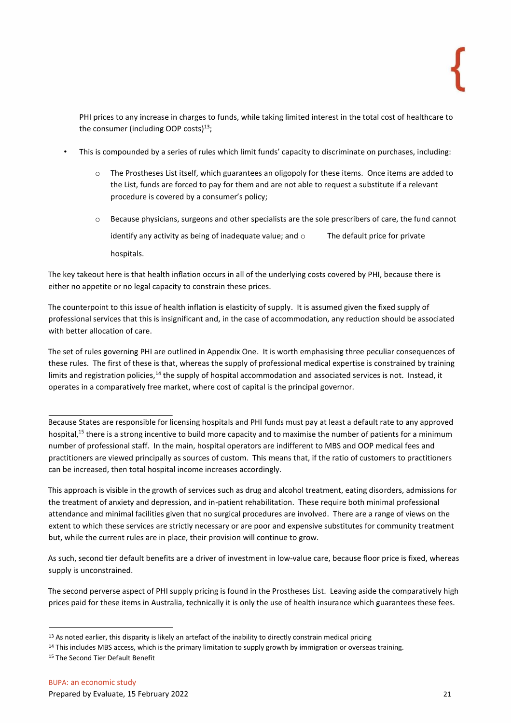PHI prices to any increase in charges to funds, while taking limited interest in the total cost of healthcare to the consumer (including OOP costs) $13$ ;

- This is compounded by a series of rules which limit funds' capacity to discriminate on purchases, including:
	- o The Prostheses List itself, which guarantees an oligopoly for these items. Once items are added to the List, funds are forced to pay for them and are not able to request a substitute if a relevant procedure is covered by a consumer's policy;
	- o Because physicians, surgeons and other specialists are the sole prescribers of care, the fund cannot identify any activity as being of inadequate value; and  $\circ$  The default price for private hospitals.

The key takeout here is that health inflation occurs in all of the underlying costs covered by PHI, because there is either no appetite or no legal capacity to constrain these prices.

The counterpoint to this issue of health inflation is elasticity of supply. It is assumed given the fixed supply of professional services that this is insignificant and, in the case of accommodation, any reduction should be associated with better allocation of care.

The set of rules governing PHI are outlined in Appendix One. It is worth emphasising three peculiar consequences of these rules. The first of these is that, whereas the supply of professional medical expertise is constrained by training limits and registration policies, $14$  the supply of hospital accommodation and associated services is not. Instead, it operates in a comparatively free market, where cost of capital is the principal governor.

This approach is visible in the growth of services such as drug and alcohol treatment, eating disorders, admissions for the treatment of anxiety and depression, and in-patient rehabilitation. These require both minimal professional attendance and minimal facilities given that no surgical procedures are involved. There are a range of views on the extent to which these services are strictly necessary or are poor and expensive substitutes for community treatment but, while the current rules are in place, their provision will continue to grow.

As such, second tier default benefits are a driver of investment in low-value care, because floor price is fixed, whereas supply is unconstrained.

The second perverse aspect of PHI supply pricing is found in the Prostheses List. Leaving aside the comparatively high prices paid for these items in Australia, technically it is only the use of health insurance which guarantees these fees.

Because States are responsible for licensing hospitals and PHI funds must pay at least a default rate to any approved hospital,<sup>15</sup> there is a strong incentive to build more capacity and to maximise the number of patients for a minimum number of professional staff. In the main, hospital operators are indifferent to MBS and OOP medical fees and practitioners are viewed principally as sources of custom. This means that, if the ratio of customers to practitioners can be increased, then total hospital income increases accordingly.

<sup>&</sup>lt;sup>13</sup> As noted earlier, this disparity is likely an artefact of the inability to directly constrain medical pricing

<sup>&</sup>lt;sup>14</sup> This includes MBS access, which is the primary limitation to supply growth by immigration or overseas training.

<sup>15</sup> The Second Tier Default Benefit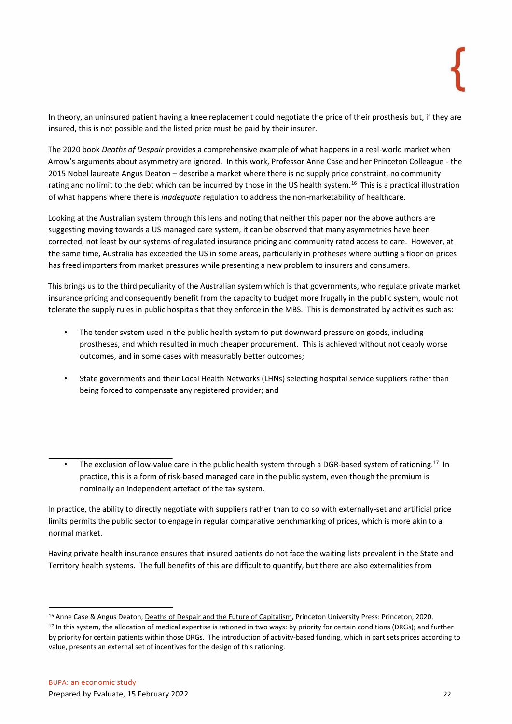In theory, an uninsured patient having a knee replacement could negotiate the price of their prosthesis but, if they are insured, this is not possible and the listed price must be paid by their insurer.

The 2020 book *Deaths of Despair* provides a comprehensive example of what happens in a real-world market when Arrow's arguments about asymmetry are ignored. In this work, Professor Anne Case and her Princeton Colleague - the 2015 Nobel laureate Angus Deaton – describe a market where there is no supply price constraint, no community rating and no limit to the debt which can be incurred by those in the US health system.<sup>16</sup> This is a practical illustration of what happens where there is *inadequate* regulation to address the non-marketability of healthcare.

Looking at the Australian system through this lens and noting that neither this paper nor the above authors are suggesting moving towards a US managed care system, it can be observed that many asymmetries have been corrected, not least by our systems of regulated insurance pricing and community rated access to care. However, at the same time, Australia has exceeded the US in some areas, particularly in protheses where putting a floor on prices has freed importers from market pressures while presenting a new problem to insurers and consumers.

This brings us to the third peculiarity of the Australian system which is that governments, who regulate private market insurance pricing and consequently benefit from the capacity to budget more frugally in the public system, would not tolerate the supply rules in public hospitals that they enforce in the MBS. This is demonstrated by activities such as:

- The tender system used in the public health system to put downward pressure on goods, including prostheses, and which resulted in much cheaper procurement. This is achieved without noticeably worse outcomes, and in some cases with measurably better outcomes;
- State governments and their Local Health Networks (LHNs) selecting hospital service suppliers rather than being forced to compensate any registered provider; and

In practice, the ability to directly negotiate with suppliers rather than to do so with externally-set and artificial price limits permits the public sector to engage in regular comparative benchmarking of prices, which is more akin to a normal market.

Having private health insurance ensures that insured patients do not face the waiting lists prevalent in the State and Territory health systems. The full benefits of this are difficult to quantify, but there are also externalities from

<sup>•</sup> The exclusion of low-value care in the public health system through a DGR-based system of rationing.<sup>17</sup> In practice, this is a form of risk-based managed care in the public system, even though the premium is nominally an independent artefact of the tax system.

<sup>&</sup>lt;sup>16</sup> Anne Case & Angus Deaton, Deaths of Despair and the Future of Capitalism, Princeton University Press: Princeton, 2020.

<sup>&</sup>lt;sup>17</sup> In this system, the allocation of medical expertise is rationed in two ways: by priority for certain conditions (DRGs); and further by priority for certain patients within those DRGs. The introduction of activity-based funding, which in part sets prices according to value, presents an external set of incentives for the design of this rationing.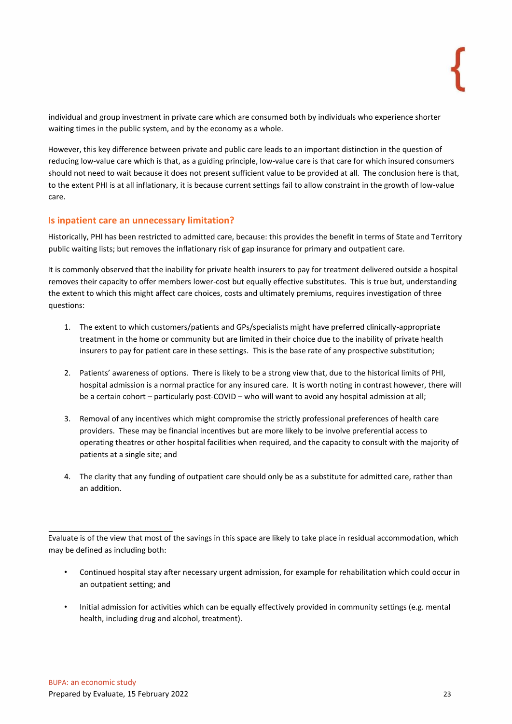individual and group investment in private care which are consumed both by individuals who experience shorter waiting times in the public system, and by the economy as a whole.

However, this key difference between private and public care leads to an important distinction in the question of reducing low-value care which is that, as a guiding principle, low-value care is that care for which insured consumers should not need to wait because it does not present sufficient value to be provided at all. The conclusion here is that, to the extent PHI is at all inflationary, it is because current settings fail to allow constraint in the growth of low-value care.

#### <span id="page-22-0"></span>**Is inpatient care an unnecessary limitation?**

Historically, PHI has been restricted to admitted care, because: this provides the benefit in terms of State and Territory public waiting lists; but removes the inflationary risk of gap insurance for primary and outpatient care.

It is commonly observed that the inability for private health insurers to pay for treatment delivered outside a hospital removes their capacity to offer members lower-cost but equally effective substitutes. This is true but, understanding the extent to which this might affect care choices, costs and ultimately premiums, requires investigation of three questions:

- 1. The extent to which customers/patients and GPs/specialists might have preferred clinically-appropriate treatment in the home or community but are limited in their choice due to the inability of private health insurers to pay for patient care in these settings. This is the base rate of any prospective substitution;
- 2. Patients' awareness of options. There is likely to be a strong view that, due to the historical limits of PHI, hospital admission is a normal practice for any insured care. It is worth noting in contrast however, there will be a certain cohort – particularly post-COVID – who will want to avoid any hospital admission at all;
- 3. Removal of any incentives which might compromise the strictly professional preferences of health care providers. These may be financial incentives but are more likely to be involve preferential access to operating theatres or other hospital facilities when required, and the capacity to consult with the majority of patients at a single site; and
- 4. The clarity that any funding of outpatient care should only be as a substitute for admitted care, rather than an addition.

Evaluate is of the view that most of the savings in this space are likely to take place in residual accommodation, which may be defined as including both:

- Continued hospital stay after necessary urgent admission, for example for rehabilitation which could occur in an outpatient setting; and
- Initial admission for activities which can be equally effectively provided in community settings (e.g. mental health, including drug and alcohol, treatment).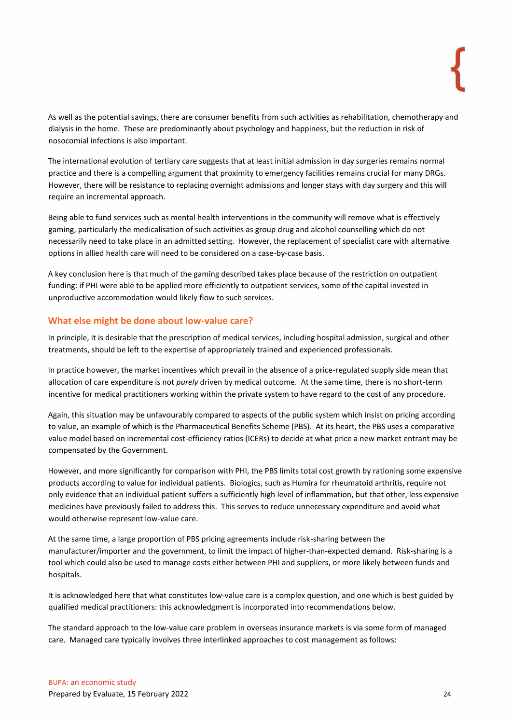As well as the potential savings, there are consumer benefits from such activities as rehabilitation, chemotherapy and dialysis in the home. These are predominantly about psychology and happiness, but the reduction in risk of nosocomial infections is also important.

The international evolution of tertiary care suggests that at least initial admission in day surgeries remains normal practice and there is a compelling argument that proximity to emergency facilities remains crucial for many DRGs. However, there will be resistance to replacing overnight admissions and longer stays with day surgery and this will require an incremental approach.

Being able to fund services such as mental health interventions in the community will remove what is effectively gaming, particularly the medicalisation of such activities as group drug and alcohol counselling which do not necessarily need to take place in an admitted setting. However, the replacement of specialist care with alternative options in allied health care will need to be considered on a case-by-case basis.

A key conclusion here is that much of the gaming described takes place because of the restriction on outpatient funding: if PHI were able to be applied more efficiently to outpatient services, some of the capital invested in unproductive accommodation would likely flow to such services.

#### <span id="page-23-0"></span>**What else might be done about low-value care?**

In principle, it is desirable that the prescription of medical services, including hospital admission, surgical and other treatments, should be left to the expertise of appropriately trained and experienced professionals.

In practice however, the market incentives which prevail in the absence of a price-regulated supply side mean that allocation of care expenditure is not *purely* driven by medical outcome. At the same time, there is no short-term incentive for medical practitioners working within the private system to have regard to the cost of any procedure.

Again, this situation may be unfavourably compared to aspects of the public system which insist on pricing according to value, an example of which is the Pharmaceutical Benefits Scheme (PBS). At its heart, the PBS uses a comparative value model based on incremental cost-efficiency ratios (ICERs) to decide at what price a new market entrant may be compensated by the Government.

However, and more significantly for comparison with PHI, the PBS limits total cost growth by rationing some expensive products according to value for individual patients. Biologics, such as Humira for rheumatoid arthritis, require not only evidence that an individual patient suffers a sufficiently high level of inflammation, but that other, less expensive medicines have previously failed to address this. This serves to reduce unnecessary expenditure and avoid what would otherwise represent low-value care.

At the same time, a large proportion of PBS pricing agreements include risk-sharing between the manufacturer/importer and the government, to limit the impact of higher-than-expected demand. Risk-sharing is a tool which could also be used to manage costs either between PHI and suppliers, or more likely between funds and hospitals.

It is acknowledged here that what constitutes low-value care is a complex question, and one which is best guided by qualified medical practitioners: this acknowledgment is incorporated into recommendations below.

The standard approach to the low-value care problem in overseas insurance markets is via some form of managed care. Managed care typically involves three interlinked approaches to cost management as follows: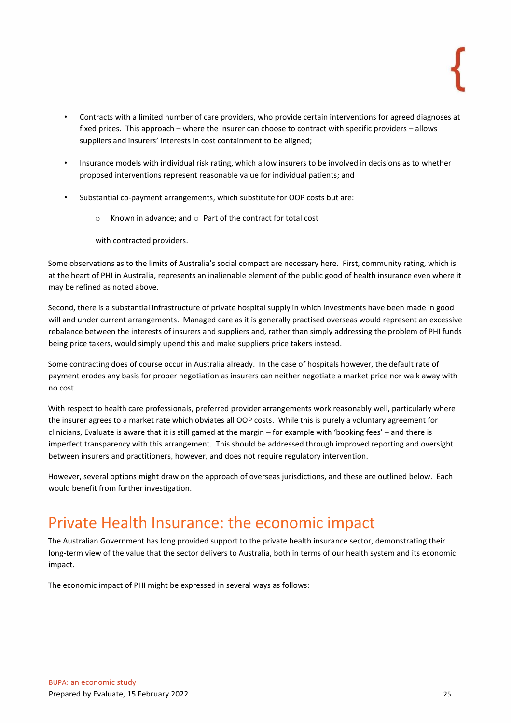- Contracts with a limited number of care providers, who provide certain interventions for agreed diagnoses at fixed prices. This approach – where the insurer can choose to contract with specific providers – allows suppliers and insurers' interests in cost containment to be aligned;
- Insurance models with individual risk rating, which allow insurers to be involved in decisions as to whether proposed interventions represent reasonable value for individual patients; and
- Substantial co-payment arrangements, which substitute for OOP costs but are:
	- o Known in advance; and o Part of the contract for total cost

with contracted providers.

Some observations as to the limits of Australia's social compact are necessary here. First, community rating, which is at the heart of PHI in Australia, represents an inalienable element of the public good of health insurance even where it may be refined as noted above.

Second, there is a substantial infrastructure of private hospital supply in which investments have been made in good will and under current arrangements. Managed care as it is generally practised overseas would represent an excessive rebalance between the interests of insurers and suppliers and, rather than simply addressing the problem of PHI funds being price takers, would simply upend this and make suppliers price takers instead.

Some contracting does of course occur in Australia already. In the case of hospitals however, the default rate of payment erodes any basis for proper negotiation as insurers can neither negotiate a market price nor walk away with no cost.

With respect to health care professionals, preferred provider arrangements work reasonably well, particularly where the insurer agrees to a market rate which obviates all OOP costs. While this is purely a voluntary agreement for clinicians, Evaluate is aware that it is still gamed at the margin – for example with 'booking fees' – and there is imperfect transparency with this arrangement. This should be addressed through improved reporting and oversight between insurers and practitioners, however, and does not require regulatory intervention.

However, several options might draw on the approach of overseas jurisdictions, and these are outlined below. Each would benefit from further investigation.

### <span id="page-24-0"></span>Private Health Insurance: the economic impact

The Australian Government has long provided support to the private health insurance sector, demonstrating their long-term view of the value that the sector delivers to Australia, both in terms of our health system and its economic impact.

The economic impact of PHI might be expressed in several ways as follows: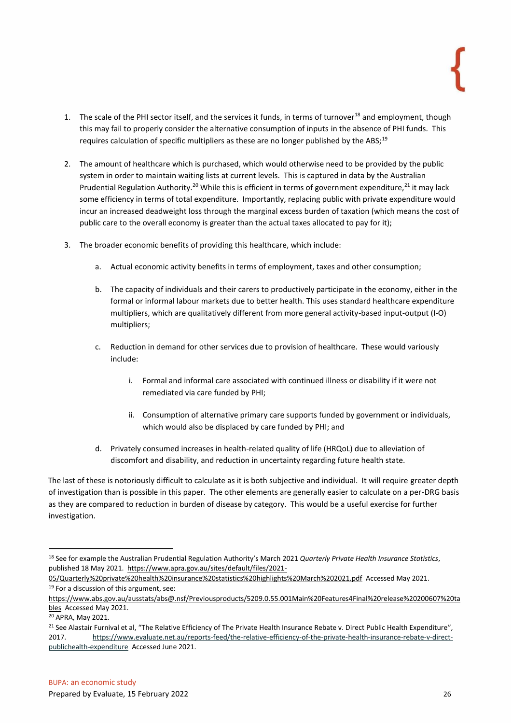- 1. The scale of the PHI sector itself, and the services it funds, in terms of turnover<sup>18</sup> and employment, though this may fail to properly consider the alternative consumption of inputs in the absence of PHI funds. This requires calculation of specific multipliers as these are no longer published by the ABS;<sup>19</sup>
- 2. The amount of healthcare which is purchased, which would otherwise need to be provided by the public system in order to maintain waiting lists at current levels. This is captured in data by the Australian Prudential Regulation Authority.<sup>20</sup> While this is efficient in terms of government expenditure,<sup>21</sup> it may lack some efficiency in terms of total expenditure. Importantly, replacing public with private expenditure would incur an increased deadweight loss through the marginal excess burden of taxation (which means the cost of public care to the overall economy is greater than the actual taxes allocated to pay for it);
- 3. The broader economic benefits of providing this healthcare, which include:
	- a. Actual economic activity benefits in terms of employment, taxes and other consumption;
	- b. The capacity of individuals and their carers to productively participate in the economy, either in the formal or informal labour markets due to better health. This uses standard healthcare expenditure multipliers, which are qualitatively different from more general activity-based input-output (I-O) multipliers;
	- c. Reduction in demand for other services due to provision of healthcare. These would variously include:
		- i. Formal and informal care associated with continued illness or disability if it were not remediated via care funded by PHI;
		- ii. Consumption of alternative primary care supports funded by government or individuals, which would also be displaced by care funded by PHI; and
	- d. Privately consumed increases in health-related quality of life (HRQoL) due to alleviation of discomfort and disability, and reduction in uncertainty regarding future health state.

The last of these is notoriously difficult to calculate as it is both subjective and individual. It will require greater depth of investigation than is possible in this paper. The other elements are generally easier to calculate on a per-DRG basis as they are compared to reduction in burden of disease by category. This would be a useful exercise for further investigation.

<sup>18</sup> See for example the Australian Prudential Regulation Authority's March 2021 *Quarterly Private Health Insurance Statistics*, published 18 May 2021[. https://www.apra.gov.au/sites/default/files/2021-](https://www.apra.gov.au/sites/default/files/2021-05/Quarterly%20private%20health%20insurance%20statistics%20highlights%20March%202021.pdf)

[<sup>05/</sup>Quarterly%20private%20health%20insurance%20statistics%20highlights%20March%202021.pdf A](https://www.apra.gov.au/sites/default/files/2021-05/Quarterly%20private%20health%20insurance%20statistics%20highlights%20March%202021.pdf)ccessed May 2021. <sup>19</sup> For a discussion of this argument, see:

[https://www.abs.gov.au/ausstats/abs@.nsf/Previousproducts/5209.0.55.001Main%20Features4Final%20release%20200607%20ta](https://www.abs.gov.au/ausstats/abs@.nsf/Previousproducts/5209.0.55.001Main%20Features4Final%20release%202006-07%20tables) [bles A](https://www.abs.gov.au/ausstats/abs@.nsf/Previousproducts/5209.0.55.001Main%20Features4Final%20release%202006-07%20tables)ccessed May 2021.

<sup>20</sup> APRA, May 2021.

<sup>&</sup>lt;sup>21</sup> See Alastair Furnival et al, "The Relative Efficiency of The Private Health Insurance Rebate v. Direct Public Health Expenditure". 2017[. https://www.evaluate.net.au/reports-feed/the-relative-efficiency-of-the-private-health-insurance-rebate-v-direct](https://www.evaluate.net.au/reports-feed/the-relative-efficiency-of-the-private-health-insurance-rebate-v-direct-public-health-expenditure)[publichealth-expenditure A](https://www.evaluate.net.au/reports-feed/the-relative-efficiency-of-the-private-health-insurance-rebate-v-direct-public-health-expenditure)ccessed June 2021.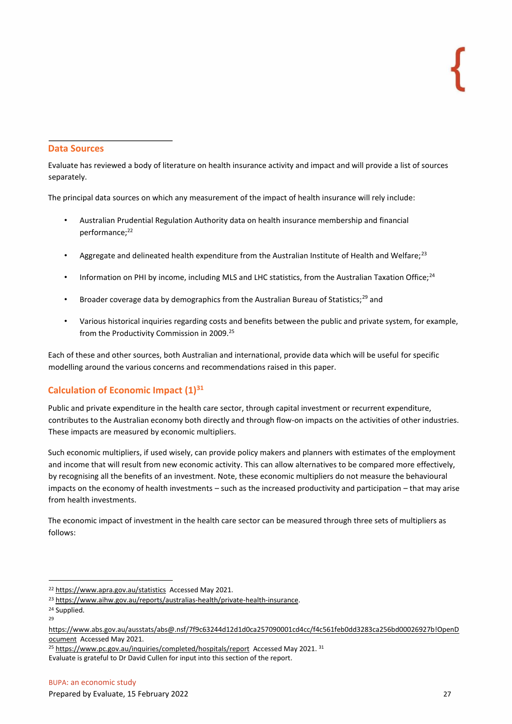#### <span id="page-26-0"></span>**Data Sources**

Evaluate has reviewed a body of literature on health insurance activity and impact and will provide a list of sources separately.

The principal data sources on which any measurement of the impact of health insurance will rely include:

- Australian Prudential Regulation Authority data on health insurance membership and financial performance;<sup>22</sup>
- Aggregate and delineated health expenditure from the Australian Institute of Health and Welfare;<sup>23</sup>
- Information on PHI by income, including MLS and LHC statistics, from the Australian Taxation Office;<sup>24</sup>
- Broader coverage data by demographics from the Australian Bureau of Statistics;<sup>29</sup> and
- Various historical inquiries regarding costs and benefits between the public and private system, for example, from the Productivity Commission in 2009.<sup>25</sup>

Each of these and other sources, both Australian and international, provide data which will be useful for specific modelling around the various concerns and recommendations raised in this paper.

#### <span id="page-26-1"></span>**Calculation of Economic Impact (1)<sup>31</sup>**

Public and private expenditure in the health care sector, through capital investment or recurrent expenditure, contributes to the Australian economy both directly and through flow-on impacts on the activities of other industries. These impacts are measured by economic multipliers.

Such economic multipliers, if used wisely, can provide policy makers and planners with estimates of the employment and income that will result from new economic activity. This can allow alternatives to be compared more effectively, by recognising all the benefits of an investment. Note, these economic multipliers do not measure the behavioural impacts on the economy of health investments – such as the increased productivity and participation – that may arise from health investments.

The economic impact of investment in the health care sector can be measured through three sets of multipliers as follows:

<sup>&</sup>lt;sup>22</sup> [https://www.apra.gov.au/statistics A](https://www.apra.gov.au/statistics)ccessed May 2021.

<sup>23</sup> [https://www.aihw.gov.au/reports/australias-health/private-health-insurance.](https://www.aihw.gov.au/reports/australias-health/private-health-insurance)

<sup>24</sup> Supplied. 29

[https://www.abs.gov.au/ausstats/abs@.nsf/7f9c63244d12d1d0ca257090001cd4cc/f4c561feb0dd3283ca256bd00026927b!OpenD](https://www.abs.gov.au/ausstats/abs@.nsf/7f9c63244d12d1d0ca257090001cd4cc/f4c561feb0dd3283ca256bd00026927b!OpenDocument)  [ocument A](https://www.abs.gov.au/ausstats/abs@.nsf/7f9c63244d12d1d0ca257090001cd4cc/f4c561feb0dd3283ca256bd00026927b!OpenDocument)ccessed May 2021.

<sup>&</sup>lt;sup>25</sup> <https://www.pc.gov.au/inquiries/completed/hospitals/report> [A](https://www.pc.gov.au/inquiries/completed/hospitals/report)ccessed May 2021.<sup>31</sup> Evaluate is grateful to Dr David Cullen for input into this section of the report.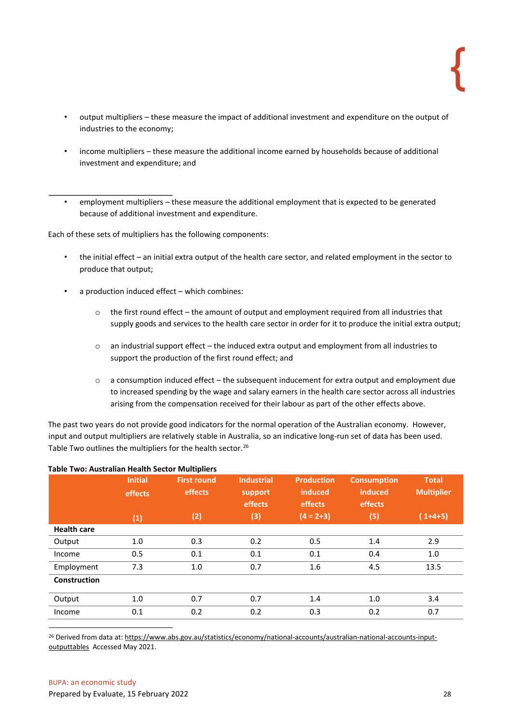- output multipliers these measure the impact of additional investment and expenditure on the output of industries to the economy;
- income multipliers these measure the additional income earned by households because of additional investment and expenditure; and
- employment multipliers these measure the additional employment that is expected to be generated because of additional investment and expenditure.

Each of these sets of multipliers has the following components:

- the initial effect an initial extra output of the health care sector, and related employment in the sector to produce that output;
- a production induced effect which combines:
	- $\circ$  the first round effect the amount of output and employment required from all industries that supply goods and services to the health care sector in order for it to produce the initial extra output;
	- o an industrial support effect the induced extra output and employment from all industries to support the production of the first round effect; and
	- $\circ$  a consumption induced effect the subsequent inducement for extra output and employment due to increased spending by the wage and salary earners in the health care sector across all industries arising from the compensation received for their labour as part of the other effects above.

The past two years do not provide good indicators for the normal operation of the Australian economy. However, input and output multipliers are relatively stable in Australia, so an indicative long-run set of data has been used. Table Two outlines the multipliers for the health sector.<sup>26</sup>

| <b>Initial</b><br>effects | <b>First round</b><br>effects | <b>Industrial</b><br>support<br>effects | <b>Production</b><br>induced<br>effects | <b>Consumption</b><br>induced<br>effects | <b>Total</b><br><b>Multiplier</b> |
|---------------------------|-------------------------------|-----------------------------------------|-----------------------------------------|------------------------------------------|-----------------------------------|
| (1)                       | (2)                           | (3)                                     | $(4 = 2+3)$                             | (5)                                      | $(1+4+5)$                         |
|                           |                               |                                         |                                         |                                          |                                   |
| 1.0                       | 0.3                           | 0.2                                     | 0.5                                     | 1.4                                      | 2.9                               |
| 0.5                       | 0.1                           | 0.1                                     | 0.1                                     | 0.4                                      | 1.0                               |
| 7.3                       | 1.0                           | 0.7                                     | 1.6                                     | 4.5                                      | 13.5                              |
|                           |                               |                                         |                                         |                                          |                                   |
| 1.0                       | 0.7                           | 0.7                                     | 1.4                                     | 1.0                                      | 3.4                               |
| 0.1                       | 0.2                           | 0.2                                     | 0.3                                     | 0.2                                      | 0.7                               |
|                           |                               |                                         |                                         |                                          |                                   |

#### **Table Two: Australian Health Sector Multipliers**

<sup>26</sup> Derived from data at[: https://www.abs.gov.au/statistics/economy/national-accounts/australian-national-accounts-input](https://www.abs.gov.au/statistics/economy/national-accounts/australian-national-accounts-input-output-tables)[outputtables A](https://www.abs.gov.au/statistics/economy/national-accounts/australian-national-accounts-input-output-tables)ccessed May 2021.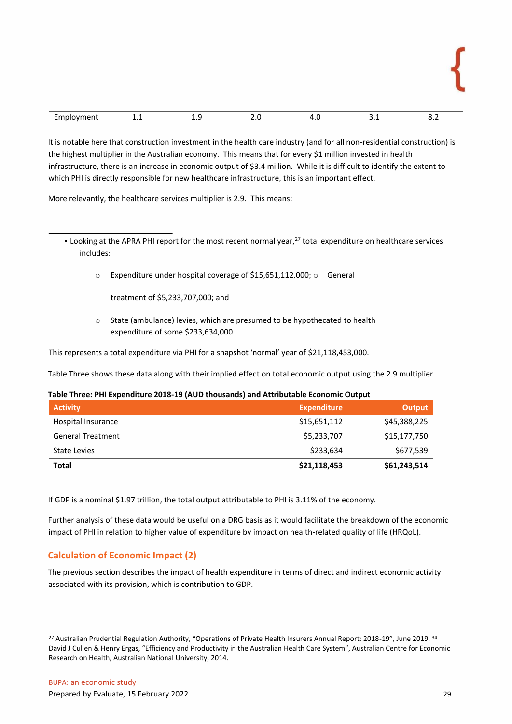| $-$<br>$\sim$<br>.<br>____ | --- | .<br>$\sim$ | ______ | .<br>__ | o.z |
|----------------------------|-----|-------------|--------|---------|-----|

It is notable here that construction investment in the health care industry (and for all non-residential construction) is the highest multiplier in the Australian economy. This means that for every \$1 million invested in health infrastructure, there is an increase in economic output of \$3.4 million. While it is difficult to identify the extent to which PHI is directly responsible for new healthcare infrastructure, this is an important effect.

More relevantly, the healthcare services multiplier is 2.9. This means:

- Looking at the APRA PHI report for the most recent normal year,<sup>27</sup> total expenditure on healthcare services includes:
	- o Expenditure under hospital coverage of \$15,651,112,000; o General

treatment of \$5,233,707,000; and

o State (ambulance) levies, which are presumed to be hypothecated to health expenditure of some \$233,634,000.

This represents a total expenditure via PHI for a snapshot 'normal' year of \$21,118,453,000.

Table Three shows these data along with their implied effect on total economic output using the 2.9 multiplier.

#### **Table Three: PHI Expenditure 2018-19 (AUD thousands) and Attributable Economic Output**

| <b>Activity</b>          | <b>Expenditure</b> | Output       |
|--------------------------|--------------------|--------------|
| Hospital Insurance       | \$15,651,112       | \$45,388,225 |
| <b>General Treatment</b> | \$5,233,707        | \$15,177,750 |
| <b>State Levies</b>      | \$233,634          | \$677,539    |
| <b>Total</b>             | \$21,118,453       | \$61,243,514 |

If GDP is a nominal \$1.97 trillion, the total output attributable to PHI is 3.11% of the economy.

Further analysis of these data would be useful on a DRG basis as it would facilitate the breakdown of the economic impact of PHI in relation to higher value of expenditure by impact on health-related quality of life (HRQoL).

#### <span id="page-28-0"></span>**Calculation of Economic Impact (2)**

The previous section describes the impact of health expenditure in terms of direct and indirect economic activity associated with its provision, which is contribution to GDP.

<sup>&</sup>lt;sup>27</sup> Australian Prudential Regulation Authority, "Operations of Private Health Insurers Annual Report: 2018-19", June 2019.  $^{34}$ David J Cullen & Henry Ergas, "Efficiency and Productivity in the Australian Health Care System", Australian Centre for Economic Research on Health, Australian National University, 2014.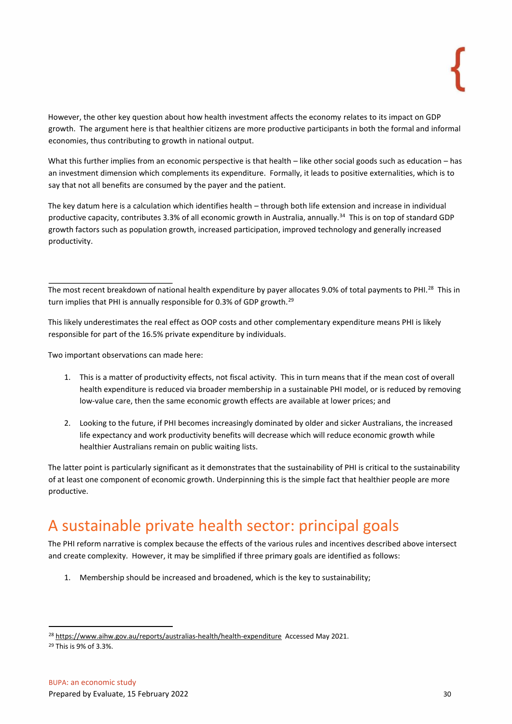However, the other key question about how health investment affects the economy relates to its impact on GDP growth. The argument here is that healthier citizens are more productive participants in both the formal and informal economies, thus contributing to growth in national output.

What this further implies from an economic perspective is that health – like other social goods such as education – has an investment dimension which complements its expenditure. Formally, it leads to positive externalities, which is to say that not all benefits are consumed by the payer and the patient.

The key datum here is a calculation which identifies health – through both life extension and increase in individual productive capacity, contributes 3.3% of all economic growth in Australia, annually.<sup>34</sup> This is on top of standard GDP growth factors such as population growth, increased participation, improved technology and generally increased productivity.

The most recent breakdown of national health expenditure by payer allocates 9.0% of total payments to PHI.<sup>28</sup> This in turn implies that PHI is annually responsible for 0.3% of GDP growth.<sup>29</sup>

This likely underestimates the real effect as OOP costs and other complementary expenditure means PHI is likely responsible for part of the 16.5% private expenditure by individuals.

Two important observations can made here:

- 1. This is a matter of productivity effects, not fiscal activity. This in turn means that if the mean cost of overall health expenditure is reduced via broader membership in a sustainable PHI model, or is reduced by removing low-value care, then the same economic growth effects are available at lower prices; and
- 2. Looking to the future, if PHI becomes increasingly dominated by older and sicker Australians, the increased life expectancy and work productivity benefits will decrease which will reduce economic growth while healthier Australians remain on public waiting lists.

The latter point is particularly significant as it demonstrates that the sustainability of PHI is critical to the sustainability of at least one component of economic growth. Underpinning this is the simple fact that healthier people are more productive.

### <span id="page-29-0"></span>A sustainable private health sector: principal goals

The PHI reform narrative is complex because the effects of the various rules and incentives described above intersect and create complexity. However, it may be simplified if three primary goals are identified as follows:

1. Membership should be increased and broadened, which is the key to sustainability;

<sup>&</sup>lt;sup>28</sup> [https://www.aihw.gov.au/reports/australias-health/health-expenditure A](https://www.aihw.gov.au/reports/australias-health/health-expenditure)ccessed May 2021.

<sup>29</sup> This is 9% of 3.3%.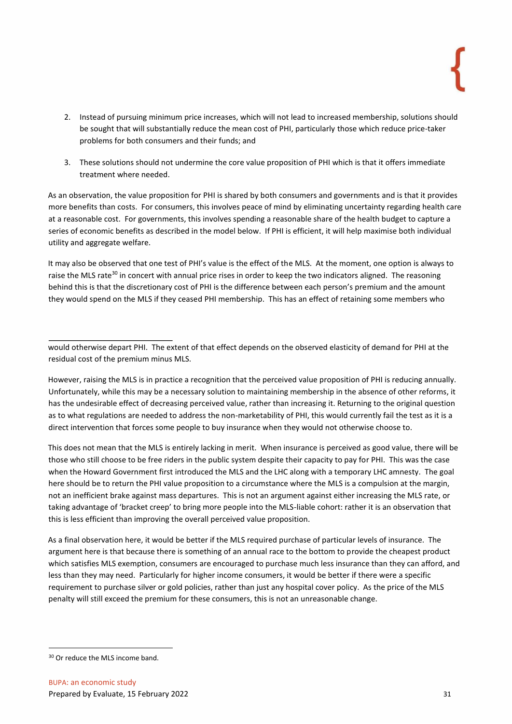- 2. Instead of pursuing minimum price increases, which will not lead to increased membership, solutions should be sought that will substantially reduce the mean cost of PHI, particularly those which reduce price-taker problems for both consumers and their funds; and
- 3. These solutions should not undermine the core value proposition of PHI which is that it offers immediate treatment where needed.

As an observation, the value proposition for PHI is shared by both consumers and governments and is that it provides more benefits than costs. For consumers, this involves peace of mind by eliminating uncertainty regarding health care at a reasonable cost. For governments, this involves spending a reasonable share of the health budget to capture a series of economic benefits as described in the model below. If PHI is efficient, it will help maximise both individual utility and aggregate welfare.

It may also be observed that one test of PHI's value is the effect of the MLS. At the moment, one option is always to raise the MLS rate<sup>30</sup> in concert with annual price rises in order to keep the two indicators aligned. The reasoning behind this is that the discretionary cost of PHI is the difference between each person's premium and the amount they would spend on the MLS if they ceased PHI membership. This has an effect of retaining some members who

However, raising the MLS is in practice a recognition that the perceived value proposition of PHI is reducing annually. Unfortunately, while this may be a necessary solution to maintaining membership in the absence of other reforms, it has the undesirable effect of decreasing perceived value, rather than increasing it. Returning to the original question as to what regulations are needed to address the non-marketability of PHI, this would currently fail the test as it is a direct intervention that forces some people to buy insurance when they would not otherwise choose to.

This does not mean that the MLS is entirely lacking in merit. When insurance is perceived as good value, there will be those who still choose to be free riders in the public system despite their capacity to pay for PHI. This was the case when the Howard Government first introduced the MLS and the LHC along with a temporary LHC amnesty. The goal here should be to return the PHI value proposition to a circumstance where the MLS is a compulsion at the margin, not an inefficient brake against mass departures. This is not an argument against either increasing the MLS rate, or taking advantage of 'bracket creep' to bring more people into the MLS-liable cohort: rather it is an observation that this is less efficient than improving the overall perceived value proposition.

As a final observation here, it would be better if the MLS required purchase of particular levels of insurance. The argument here is that because there is something of an annual race to the bottom to provide the cheapest product which satisfies MLS exemption, consumers are encouraged to purchase much less insurance than they can afford, and less than they may need. Particularly for higher income consumers, it would be better if there were a specific requirement to purchase silver or gold policies, rather than just any hospital cover policy. As the price of the MLS penalty will still exceed the premium for these consumers, this is not an unreasonable change.

would otherwise depart PHI. The extent of that effect depends on the observed elasticity of demand for PHI at the residual cost of the premium minus MLS.

<sup>&</sup>lt;sup>30</sup> Or reduce the MLS income band.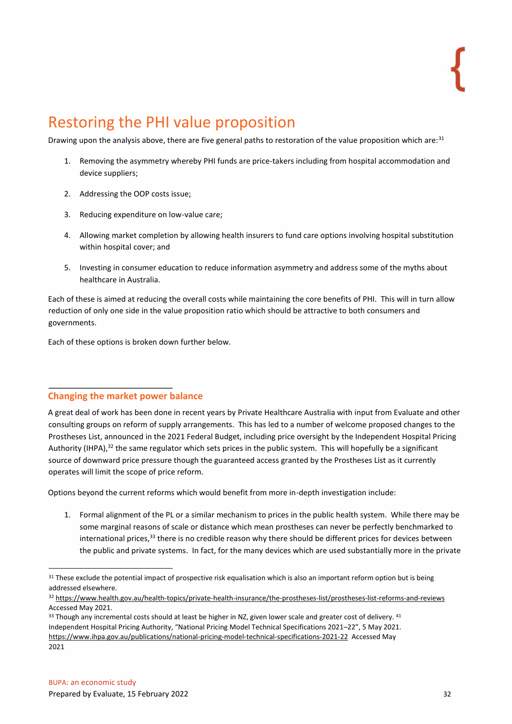### <span id="page-31-0"></span>Restoring the PHI value proposition

Drawing upon the analysis above, there are five general paths to restoration of the value proposition which are: $31$ 

- 1. Removing the asymmetry whereby PHI funds are price-takers including from hospital accommodation and device suppliers;
- 2. Addressing the OOP costs issue;
- 3. Reducing expenditure on low-value care;
- 4. Allowing market completion by allowing health insurers to fund care options involving hospital substitution within hospital cover; and
- 5. Investing in consumer education to reduce information asymmetry and address some of the myths about healthcare in Australia.

Each of these is aimed at reducing the overall costs while maintaining the core benefits of PHI. This will in turn allow reduction of only one side in the value proposition ratio which should be attractive to both consumers and governments.

Each of these options is broken down further below.

### <span id="page-31-1"></span>**Changing the market power balance**

A great deal of work has been done in recent years by Private Healthcare Australia with input from Evaluate and other consulting groups on reform of supply arrangements. This has led to a number of welcome proposed changes to the Prostheses List, announced in the 2021 Federal Budget, including price oversight by the Independent Hospital Pricing Authority (IHPA),<sup>32</sup> the same regulator which sets prices in the public system. This will hopefully be a significant source of downward price pressure though the guaranteed access granted by the Prostheses List as it currently operates will limit the scope of price reform.

Options beyond the current reforms which would benefit from more in-depth investigation include:

1. Formal alignment of the PL or a similar mechanism to prices in the public health system. While there may be some marginal reasons of scale or distance which mean prostheses can never be perfectly benchmarked to international prices,<sup>33</sup> there is no credible reason why there should be different prices for devices between the public and private systems. In fact, for the many devices which are used substantially more in the private

<sup>&</sup>lt;sup>31</sup> These exclude the potential impact of prospective risk equalisation which is also an important reform option but is being addressed elsewhere.

<sup>32</sup> <https://www.health.gov.au/health-topics/private-health-insurance/the-prostheses-list/prostheses-list-reforms-and-reviews> Accessed May 2021.

<sup>33</sup> Though any incremental costs should at least be higher in NZ, given lower scale and greater cost of delivery. <sup>41</sup> Independent Hospital Pricing Authority, "National Pricing Model Technical Specifications 2021–22", 5 May 2021. [https://www.ihpa.gov.au/publications/national-pricing-model-technical-specifications-2021-22 A](https://www.ihpa.gov.au/publications/national-pricing-model-technical-specifications-2021-22)ccessed May 2021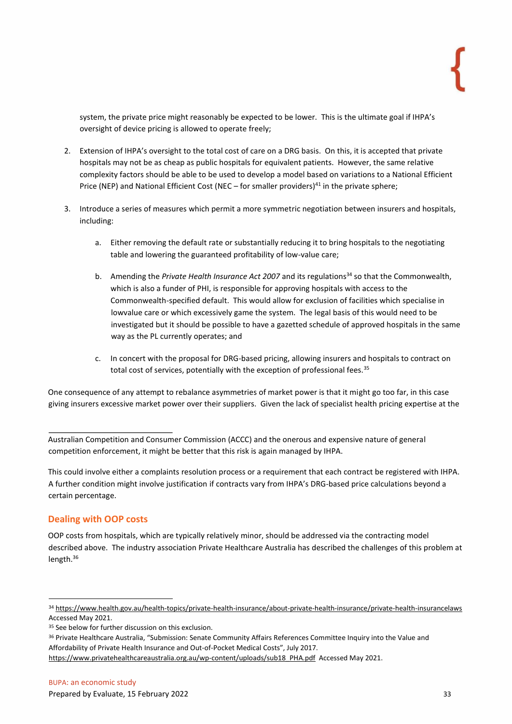system, the private price might reasonably be expected to be lower. This is the ultimate goal if IHPA's oversight of device pricing is allowed to operate freely;

- 2. Extension of IHPA's oversight to the total cost of care on a DRG basis. On this, it is accepted that private hospitals may not be as cheap as public hospitals for equivalent patients. However, the same relative complexity factors should be able to be used to develop a model based on variations to a National Efficient Price (NEP) and National Efficient Cost (NEC – for smaller providers)<sup>41</sup> in the private sphere;
- 3. Introduce a series of measures which permit a more symmetric negotiation between insurers and hospitals, including:
	- a. Either removing the default rate or substantially reducing it to bring hospitals to the negotiating table and lowering the guaranteed profitability of low-value care;
	- b. Amending the *Private Health Insurance Act 2007* and its regulations<sup>34</sup> so that the Commonwealth, which is also a funder of PHI, is responsible for approving hospitals with access to the Commonwealth-specified default. This would allow for exclusion of facilities which specialise in lowvalue care or which excessively game the system. The legal basis of this would need to be investigated but it should be possible to have a gazetted schedule of approved hospitals in the same way as the PL currently operates; and
	- c. In concert with the proposal for DRG-based pricing, allowing insurers and hospitals to contract on total cost of services, potentially with the exception of professional fees.<sup>35</sup>

One consequence of any attempt to rebalance asymmetries of market power is that it might go too far, in this case giving insurers excessive market power over their suppliers. Given the lack of specialist health pricing expertise at the

Australian Competition and Consumer Commission (ACCC) and the onerous and expensive nature of general competition enforcement, it might be better that this risk is again managed by IHPA.

This could involve either a complaints resolution process or a requirement that each contract be registered with IHPA. A further condition might involve justification if contracts vary from IHPA's DRG-based price calculations beyond a certain percentage.

#### <span id="page-32-0"></span>**Dealing with OOP costs**

OOP costs from hospitals, which are typically relatively minor, should be addressed via the contracting model described above. The industry association Private Healthcare Australia has described the challenges of this problem at length.<sup>36</sup>

<sup>34</sup> [https://www.health.gov.au/health-topics/private-health-insurance/about-private-health-insurance/private-health-insurancelaws](https://www.health.gov.au/health-topics/private-health-insurance/about-private-health-insurance/private-health-insurance-laws) Accessed May 2021.

<sup>&</sup>lt;sup>35</sup> See below for further discussion on this exclusion.

<sup>36</sup> Private Healthcare Australia, "Submission: Senate Community Affairs References Committee Inquiry into the Value and Affordability of Private Health Insurance and Out-of-Pocket Medical Costs", July 2017.

[https://www.privatehealthcareaustralia.org.au/wp-content/uploads/sub18\\_PHA.pdf A](https://www.privatehealthcareaustralia.org.au/wp-content/uploads/sub18_PHA.pdf)ccessed May 2021.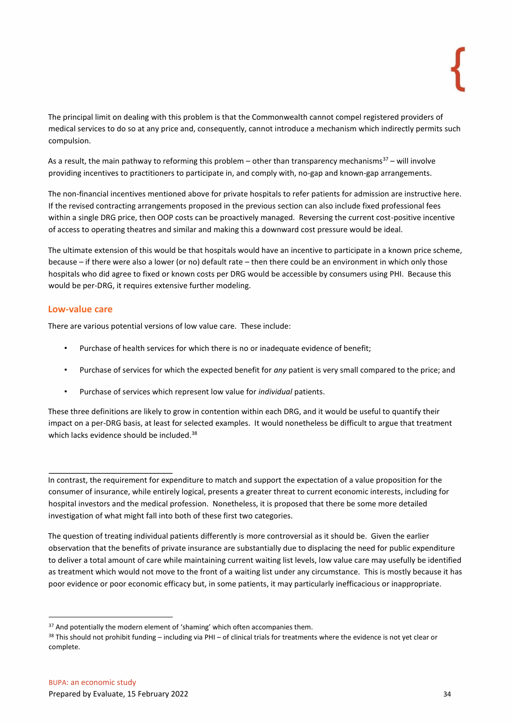The principal limit on dealing with this problem is that the Commonwealth cannot compel registered providers of medical services to do so at any price and, consequently, cannot introduce a mechanism which indirectly permits such compulsion.

As a result, the main pathway to reforming this problem – other than transparency mechanisms $37 -$  will involve providing incentives to practitioners to participate in, and comply with, no-gap and known-gap arrangements.

The non-financial incentives mentioned above for private hospitals to refer patients for admission are instructive here. If the revised contracting arrangements proposed in the previous section can also include fixed professional fees within a single DRG price, then OOP costs can be proactively managed. Reversing the current cost-positive incentive of access to operating theatres and similar and making this a downward cost pressure would be ideal.

The ultimate extension of this would be that hospitals would have an incentive to participate in a known price scheme, because – if there were also a lower (or no) default rate – then there could be an environment in which only those hospitals who did agree to fixed or known costs per DRG would be accessible by consumers using PHI. Because this would be per-DRG, it requires extensive further modeling.

#### <span id="page-33-0"></span>**Low-value care**

There are various potential versions of low value care. These include:

- Purchase of health services for which there is no or inadequate evidence of benefit;
- Purchase of services for which the expected benefit for *any* patient is very small compared to the price; and
- Purchase of services which represent low value for *individual* patients.

These three definitions are likely to grow in contention within each DRG, and it would be useful to quantify their impact on a per-DRG basis, at least for selected examples. It would nonetheless be difficult to argue that treatment which lacks evidence should be included.<sup>38</sup>

The question of treating individual patients differently is more controversial as it should be. Given the earlier observation that the benefits of private insurance are substantially due to displacing the need for public expenditure to deliver a total amount of care while maintaining current waiting list levels, low value care may usefully be identified as treatment which would not move to the front of a waiting list under any circumstance. This is mostly because it has poor evidence or poor economic efficacy but, in some patients, it may particularly inefficacious or inappropriate.

In contrast, the requirement for expenditure to match and support the expectation of a value proposition for the consumer of insurance, while entirely logical, presents a greater threat to current economic interests, including for hospital investors and the medical profession. Nonetheless, it is proposed that there be some more detailed investigation of what might fall into both of these first two categories.

 $37$  And potentially the modern element of 'shaming' which often accompanies them.

 $38$  This should not prohibit funding – including via PHI – of clinical trials for treatments where the evidence is not yet clear or complete.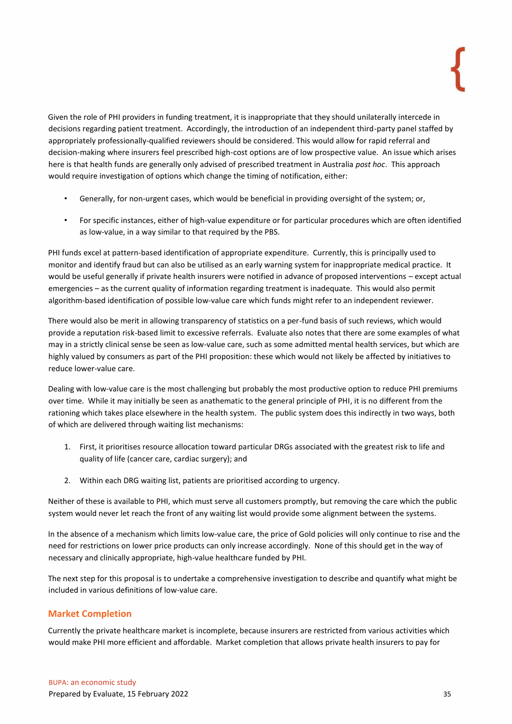Given the role of PHI providers in funding treatment, it is inappropriate that they should unilaterally intercede in decisions regarding patient treatment. Accordingly, the introduction of an independent third-party panel staffed by appropriately professionally-qualified reviewers should be considered. This would allow for rapid referral and decision-making where insurers feel prescribed high-cost options are of low prospective value. An issue which arises here is that health funds are generally only advised of prescribed treatment in Australia *post hoc*. This approach would require investigation of options which change the timing of notification, either:

- Generally, for non-urgent cases, which would be beneficial in providing oversight of the system; or,
- For specific instances, either of high-value expenditure or for particular procedures which are often identified as low-value, in a way similar to that required by the PBS.

PHI funds excel at pattern-based identification of appropriate expenditure. Currently, this is principally used to monitor and identify fraud but can also be utilised as an early warning system for inappropriate medical practice. It would be useful generally if private health insurers were notified in advance of proposed interventions – except actual emergencies – as the current quality of information regarding treatment is inadequate. This would also permit algorithm-based identification of possible low-value care which funds might refer to an independent reviewer.

There would also be merit in allowing transparency of statistics on a per-fund basis of such reviews, which would provide a reputation risk-based limit to excessive referrals. Evaluate also notes that there are some examples of what may in a strictly clinical sense be seen as low-value care, such as some admitted mental health services, but which are highly valued by consumers as part of the PHI proposition: these which would not likely be affected by initiatives to reduce lower-value care.

Dealing with low-value care is the most challenging but probably the most productive option to reduce PHI premiums over time. While it may initially be seen as anathematic to the general principle of PHI, it is no different from the rationing which takes place elsewhere in the health system. The public system does this indirectly in two ways, both of which are delivered through waiting list mechanisms:

- 1. First, it prioritises resource allocation toward particular DRGs associated with the greatest risk to life and quality of life (cancer care, cardiac surgery); and
- 2. Within each DRG waiting list, patients are prioritised according to urgency.

Neither of these is available to PHI, which must serve all customers promptly, but removing the care which the public system would never let reach the front of any waiting list would provide some alignment between the systems.

In the absence of a mechanism which limits low-value care, the price of Gold policies will only continue to rise and the need for restrictions on lower price products can only increase accordingly. None of this should get in the way of necessary and clinically appropriate, high-value healthcare funded by PHI.

The next step for this proposal is to undertake a comprehensive investigation to describe and quantify what might be included in various definitions of low-value care.

#### <span id="page-34-0"></span>**Market Completion**

Currently the private healthcare market is incomplete, because insurers are restricted from various activities which would make PHI more efficient and affordable. Market completion that allows private health insurers to pay for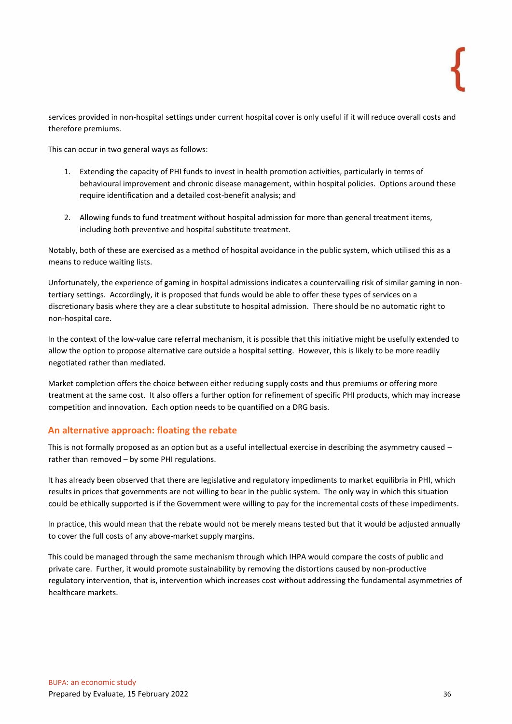services provided in non-hospital settings under current hospital cover is only useful if it will reduce overall costs and therefore premiums.

This can occur in two general ways as follows:

- 1. Extending the capacity of PHI funds to invest in health promotion activities, particularly in terms of behavioural improvement and chronic disease management, within hospital policies. Options around these require identification and a detailed cost-benefit analysis; and
- 2. Allowing funds to fund treatment without hospital admission for more than general treatment items, including both preventive and hospital substitute treatment.

Notably, both of these are exercised as a method of hospital avoidance in the public system, which utilised this as a means to reduce waiting lists.

Unfortunately, the experience of gaming in hospital admissions indicates a countervailing risk of similar gaming in nontertiary settings. Accordingly, it is proposed that funds would be able to offer these types of services on a discretionary basis where they are a clear substitute to hospital admission. There should be no automatic right to non-hospital care.

In the context of the low-value care referral mechanism, it is possible that this initiative might be usefully extended to allow the option to propose alternative care outside a hospital setting. However, this is likely to be more readily negotiated rather than mediated.

Market completion offers the choice between either reducing supply costs and thus premiums or offering more treatment at the same cost. It also offers a further option for refinement of specific PHI products, which may increase competition and innovation. Each option needs to be quantified on a DRG basis.

#### <span id="page-35-0"></span>**An alternative approach: floating the rebate**

This is not formally proposed as an option but as a useful intellectual exercise in describing the asymmetry caused – rather than removed – by some PHI regulations.

It has already been observed that there are legislative and regulatory impediments to market equilibria in PHI, which results in prices that governments are not willing to bear in the public system. The only way in which this situation could be ethically supported is if the Government were willing to pay for the incremental costs of these impediments.

In practice, this would mean that the rebate would not be merely means tested but that it would be adjusted annually to cover the full costs of any above-market supply margins.

This could be managed through the same mechanism through which IHPA would compare the costs of public and private care. Further, it would promote sustainability by removing the distortions caused by non-productive regulatory intervention, that is, intervention which increases cost without addressing the fundamental asymmetries of healthcare markets.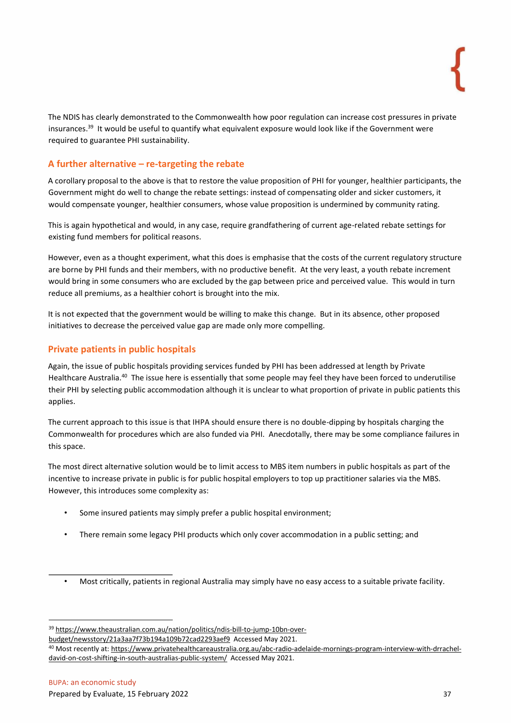The NDIS has clearly demonstrated to the Commonwealth how poor regulation can increase cost pressures in private insurances.<sup>39</sup> It would be useful to quantify what equivalent exposure would look like if the Government were required to guarantee PHI sustainability.

#### <span id="page-36-0"></span>**A further alternative – re-targeting the rebate**

A corollary proposal to the above is that to restore the value proposition of PHI for younger, healthier participants, the Government might do well to change the rebate settings: instead of compensating older and sicker customers, it would compensate younger, healthier consumers, whose value proposition is undermined by community rating.

This is again hypothetical and would, in any case, require grandfathering of current age-related rebate settings for existing fund members for political reasons.

However, even as a thought experiment, what this does is emphasise that the costs of the current regulatory structure are borne by PHI funds and their members, with no productive benefit. At the very least, a youth rebate increment would bring in some consumers who are excluded by the gap between price and perceived value. This would in turn reduce all premiums, as a healthier cohort is brought into the mix.

It is not expected that the government would be willing to make this change. But in its absence, other proposed initiatives to decrease the perceived value gap are made only more compelling.

#### <span id="page-36-1"></span>**Private patients in public hospitals**

Again, the issue of public hospitals providing services funded by PHI has been addressed at length by Private Healthcare Australia.<sup>40</sup> The issue here is essentially that some people may feel they have been forced to underutilise their PHI by selecting public accommodation although it is unclear to what proportion of private in public patients this applies.

The current approach to this issue is that IHPA should ensure there is no double-dipping by hospitals charging the Commonwealth for procedures which are also funded via PHI. Anecdotally, there may be some compliance failures in this space.

The most direct alternative solution would be to limit access to MBS item numbers in public hospitals as part of the incentive to increase private in public is for public hospital employers to top up practitioner salaries via the MBS. However, this introduces some complexity as:

- Some insured patients may simply prefer a public hospital environment;
- There remain some legacy PHI products which only cover accommodation in a public setting; and
- Most critically, patients in regional Australia may simply have no easy access to a suitable private facility.

[budget/newsstory/21a3aa7f73b194a109b72cad2293aef9 A](https://www.theaustralian.com.au/nation/politics/ndis-bill-to-jump-10bn-over-budget/news-story/21a3aa7f73b194a109b72cad2293aef9)ccessed May 2021.

<sup>39</sup> [https://www.theaustralian.com.au/nation/politics/ndis-bill-to-jump-10bn-over-](https://www.theaustralian.com.au/nation/politics/ndis-bill-to-jump-10bn-over-budget/news-story/21a3aa7f73b194a109b72cad2293aef9)

<sup>40</sup> Most recently at[: https://www.privatehealthcareaustralia.org.au/abc-radio-adelaide-mornings-program-interview-with-drrachel](https://www.privatehealthcareaustralia.org.au/abc-radio-adelaide-mornings-program-interview-with-dr-rachel-david-on-cost-shifting-in-south-australias-public-system/)[david-on-cost-shifting-in-south-australias-public-system/ A](https://www.privatehealthcareaustralia.org.au/abc-radio-adelaide-mornings-program-interview-with-dr-rachel-david-on-cost-shifting-in-south-australias-public-system/)ccessed May 2021.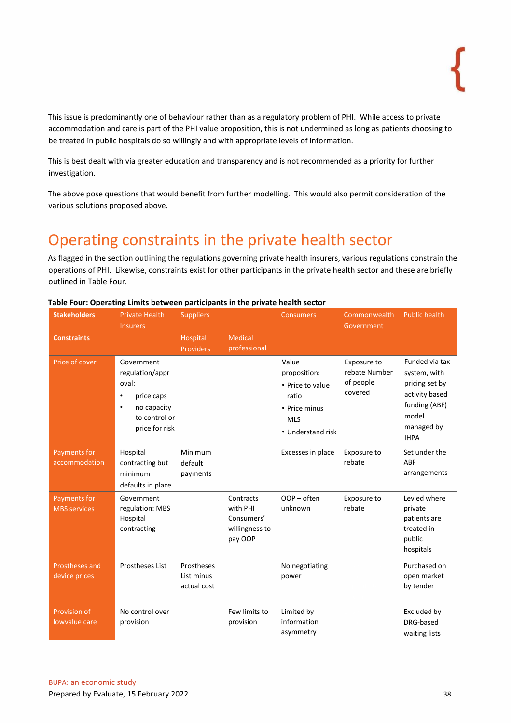This issue is predominantly one of behaviour rather than as a regulatory problem of PHI. While access to private accommodation and care is part of the PHI value proposition, this is not undermined as long as patients choosing to be treated in public hospitals do so willingly and with appropriate levels of information.

This is best dealt with via greater education and transparency and is not recommended as a priority for further investigation.

The above pose questions that would benefit from further modelling. This would also permit consideration of the various solutions proposed above.

### <span id="page-37-0"></span>Operating constraints in the private health sector

As flagged in the section outlining the regulations governing private health insurers, various regulations constrain the operations of PHI. Likewise, constraints exist for other participants in the private health sector and these are briefly outlined in Table Four.

| <b>Stakeholders</b>                    | <b>Private Health</b><br><b>Insurers</b>                                                                                 | <b>Suppliers</b>                        |                                                                  | <b>Consumers</b>                                                                                       | Commonwealth<br>Government                           | <b>Public health</b>                                                                                                      |
|----------------------------------------|--------------------------------------------------------------------------------------------------------------------------|-----------------------------------------|------------------------------------------------------------------|--------------------------------------------------------------------------------------------------------|------------------------------------------------------|---------------------------------------------------------------------------------------------------------------------------|
| <b>Constraints</b>                     |                                                                                                                          | Hospital<br><b>Providers</b>            | Medical<br>professional                                          |                                                                                                        |                                                      |                                                                                                                           |
| Price of cover                         | Government<br>regulation/appr<br>oval:<br>price caps<br>٠<br>no capacity<br>$\bullet$<br>to control or<br>price for risk |                                         |                                                                  | Value<br>proposition:<br>• Price to value<br>ratio<br>• Price minus<br><b>MLS</b><br>• Understand risk | Exposure to<br>rebate Number<br>of people<br>covered | Funded via tax<br>system, with<br>pricing set by<br>activity based<br>funding (ABF)<br>model<br>managed by<br><b>IHPA</b> |
| Payments for<br>accommodation          | Hospital<br>contracting but<br>minimum<br>defaults in place                                                              | Minimum<br>default<br>payments          |                                                                  | Excesses in place                                                                                      | Exposure to<br>rebate                                | Set under the<br><b>ABF</b><br>arrangements                                                                               |
| Payments for<br><b>MBS</b> services    | Government<br>regulation: MBS<br>Hospital<br>contracting                                                                 |                                         | Contracts<br>with PHI<br>Consumers'<br>willingness to<br>pay OOP | OOP-often<br>unknown                                                                                   | Exposure to<br>rebate                                | Levied where<br>private<br>patients are<br>treated in<br>public<br>hospitals                                              |
| <b>Prostheses and</b><br>device prices | <b>Prostheses List</b>                                                                                                   | Prostheses<br>List minus<br>actual cost |                                                                  | No negotiating<br>power                                                                                |                                                      | Purchased on<br>open market<br>by tender                                                                                  |
| <b>Provision of</b><br>lowvalue care   | No control over<br>provision                                                                                             |                                         | Few limits to<br>provision                                       | Limited by<br>information<br>asymmetry                                                                 |                                                      | Excluded by<br>DRG-based<br>waiting lists                                                                                 |

#### **Table Four: Operating Limits between participants in the private health sector**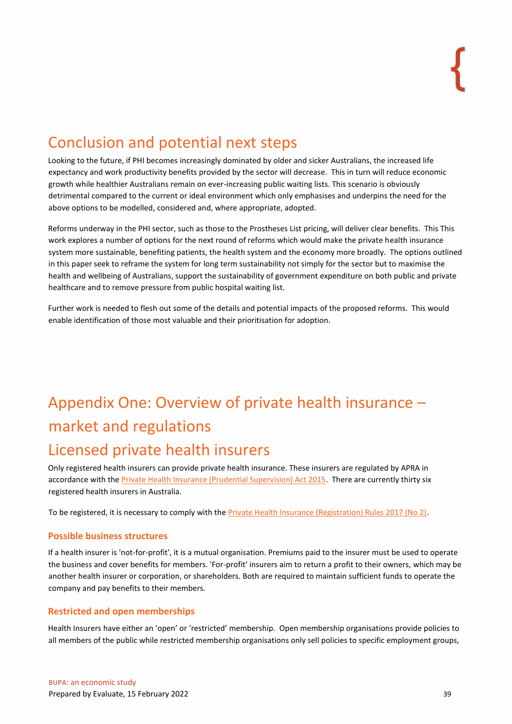## <span id="page-38-0"></span>Conclusion and potential next steps

Looking to the future, if PHI becomes increasingly dominated by older and sicker Australians, the increased life expectancy and work productivity benefits provided by the sector will decrease. This in turn will reduce economic growth while healthier Australians remain on ever-increasing public waiting lists. This scenario is obviously detrimental compared to the current or ideal environment which only emphasises and underpins the need for the above options to be modelled, considered and, where appropriate, adopted.

Reforms underway in the PHI sector, such as those to the Prostheses List pricing, will deliver clear benefits. This This work explores a number of options for the next round of reforms which would make the private health insurance system more sustainable, benefiting patients, the health system and the economy more broadly. The options outlined in this paper seek to reframe the system for long term sustainability not simply for the sector but to maximise the health and wellbeing of Australians, support the sustainability of government expenditure on both public and private healthcare and to remove pressure from public hospital waiting list.

Further work is needed to flesh out some of the details and potential impacts of the proposed reforms. This would enable identification of those most valuable and their prioritisation for adoption.

# <span id="page-38-1"></span>Appendix One: Overview of private health insurance – market and regulations Licensed private health insurers

Only registered health insurers can provide private health insurance. These insurers are regulated by APRA in accordance with the [Private Health Insurance \(Prudential Supervision\) Act 2015.](https://www.legislation.gov.au/Details/C2017C00066) There are currently thirty six registered health insurers in Australia.

To be registered, it is necessary to comply with the Private Health Insurance (Registration) Rules 2017 (No 2).

#### **Possible business structures**

If a health insurer is 'not-for-profit', it is a mutual organisation. Premiums paid to the insurer must be used to operate the business and cover benefits for members. 'For-profit' insurers aim to return a profit to their owners, which may be another health insurer or corporation, or shareholders. Both are required to maintain sufficient funds to operate the company and pay benefits to their members.

#### **Restricted and open memberships**

Health Insurers have either an 'open' or 'restricted' membership. Open membership organisations provide policies to all members of the public while restricted membership organisations only sell policies to specific employment groups,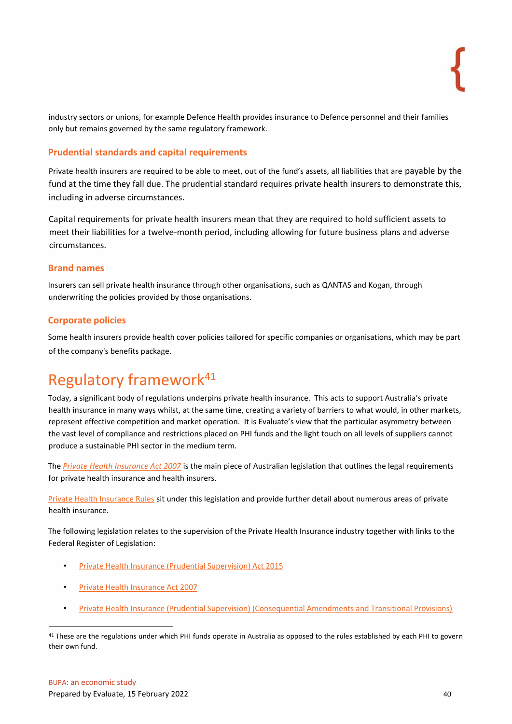industry sectors or unions, for example Defence Health provides insurance to Defence personnel and their families only but remains governed by the same regulatory framework.

#### **Prudential standards and capital requirements**

Private health insurers are required to be able to meet, out of the fund's assets, all liabilities that are payable by the fund at the time they fall due. The prudential standard requires private health insurers to demonstrate this, including in adverse circumstances.

Capital requirements for private health insurers mean that they are required to hold sufficient assets to meet their liabilities for a twelve-month period, including allowing for future business plans and adverse circumstances.

#### **Brand names**

Insurers can sell private health insurance through other organisations, such as QANTAS and Kogan, through underwriting the policies provided by those organisations.

#### **Corporate policies**

Some health insurers provide health cover policies tailored for specific companies or organisations, which may be part of the company's benefits package.

### Regulatory framework<sup>41</sup>

Today, a significant body of regulations underpins private health insurance. This acts to support Australia's private health insurance in many ways whilst, at the same time, creating a variety of barriers to what would, in other markets, represent effective competition and market operation. It is Evaluate's view that the particular asymmetry between the vast level of compliance and restrictions placed on PHI funds and the light touch on all levels of suppliers cannot produce a sustainable PHI sector in the medium term.

The *[Private Health Insurance Act 2007](https://www.legislation.gov.au/Latest/C2019C00126)* [is](https://www.legislation.gov.au/Latest/C2019C00126) the main piece of Australian legislation that outlines the legal requirements for private health insurance and health insurers.

[Private Health Insurance Rules](https://www.legislation.gov.au/Search/private%20health%20insurance%20rules) sit under this legislation and provide further detail about numerous areas of private health insurance.

The following legislation relates to the supervision of the Private Health Insurance industry together with links to the Federal Register of Legislation:

- [Private Health Insurance \(Prudential Supervision\) Act 2015](https://www.comlaw.gov.au/Series/C2015A00085)
- [Private Health Insurance Act 2007](https://www.comlaw.gov.au/Series/C2007A00031)
- [Private Health Insurance \(Prudential Supervision\) \(Consequential Amendments and Transitional Provisions\)](https://www.comlaw.gov.au/Series/C2015A00087)

<sup>41</sup> These are the regulations under which PHI funds operate in Australia as opposed to the rules established by each PHI to govern their own fund.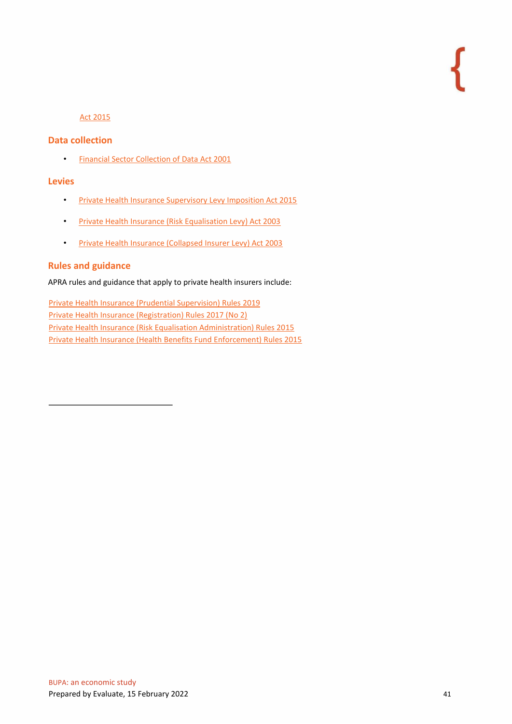#### [Act 2015](https://www.comlaw.gov.au/Series/C2015A00087)

#### **Data collection**

• [Financial Sector Collection of Data Act 2001](https://www.comlaw.gov.au/Series/C2004A00871)

#### **Levies**

- [Private Health Insurance Supervisory Levy Imposition Act 2015](https://www.comlaw.gov.au/Series/C2015A00083)
- [Private Health Insurance \(Risk Equalisation Levy\) Act 2003](https://www.comlaw.gov.au/Series/C2004A01158)
- [Private Health Insurance \(Collapsed Insurer Levy\) Act 2003](https://www.comlaw.gov.au/Series/C2004A01156)

#### **Rules and guidance**

#### APRA rules and guidance that apply to private health insurers include:

[Private Health Insurance \(Prudential Supervision\) Rules 2019](https://www.legislation.gov.au/Details/F2019L00398) [Private Health Insurance \(Registration\) Rules 2017 \(No 2\)](https://www.legislation.gov.au/Details/F2017L00670)  [Private Health Insurance \(Risk Equalisation Administration\) Rules 2015](https://www.legislation.gov.au/Details/F2015L01039) [Private Health Insurance \(Health Benefits Fund Enforcement\) Rules 2015](https://www.legislation.gov.au/Details/F2015L01036/Explanatory%20Statement/Text)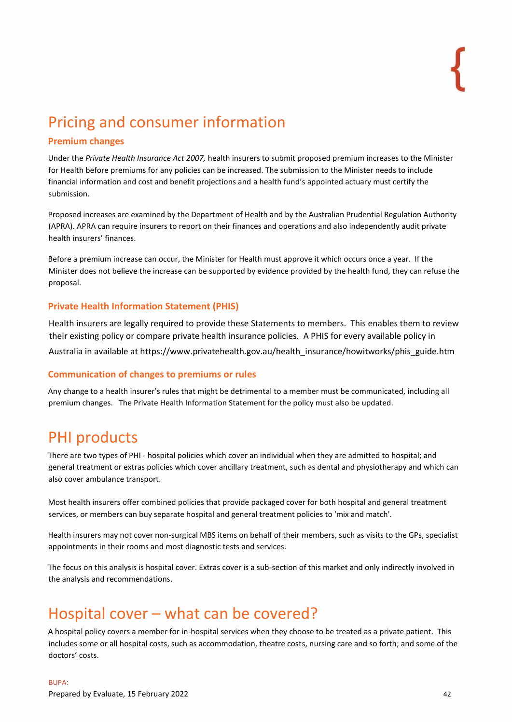## Pricing and consumer information

#### **Premium changes**

Under the *Private Health Insurance Act 2007,* health insurers to submit proposed premium increases to the Minister for Health before premiums for any policies can be increased. The submission to the Minister needs to include financial information and cost and benefit projections and a health fund's appointed actuary must certify the submission.

Proposed increases are examined by the Department of Health and by the Australian Prudential Regulation Authority (APRA). APRA can require insurers to report on their finances and operations and also independently audit private health insurers' finances.

Before a premium increase can occur, the Minister for Health must approve it which occurs once a year. If the Minister does not believe the increase can be supported by evidence provided by the health fund, they can refuse the proposal.

#### **Private Health Information Statement (PHIS)**

Health insurers are legally required to provide these Statements to members. This enables them to review their existing policy or compare private health insurance policies. A PHIS for every available policy in Australia in available at https://www.privatehealth.gov.au/health\_insurance/howitworks/phis\_guide.htm

#### **Communication of changes to premiums or rules**

Any change to a health insurer's rules that might be detrimental to a member must be communicated, including all premium changes. The Private Health Information Statement for the policy must also be updated.

### PHI products

There are two types of PHI - hospital policies which cover an individual when they are admitted to hospital; and general treatment or extras policies which cover ancillary treatment, such as dental and physiotherapy and which can also cover ambulance transport.

Most health insurers offer combined policies that provide packaged cover for both hospital and general treatment services, or members can buy separate hospital and general treatment policies to 'mix and match'.

Health insurers may not cover non-surgical MBS items on behalf of their members, such as visits to the GPs, specialist appointments in their rooms and most diagnostic tests and services.

The focus on this analysis is hospital cover. Extras cover is a sub-section of this market and only indirectly involved in the analysis and recommendations.

### Hospital cover – what can be covered?

A hospital policy covers a member for in-hospital services when they choose to be treated as a private patient. This includes some or all hospital costs, such as accommodation, theatre costs, nursing care and so forth; and some of the doctors' costs.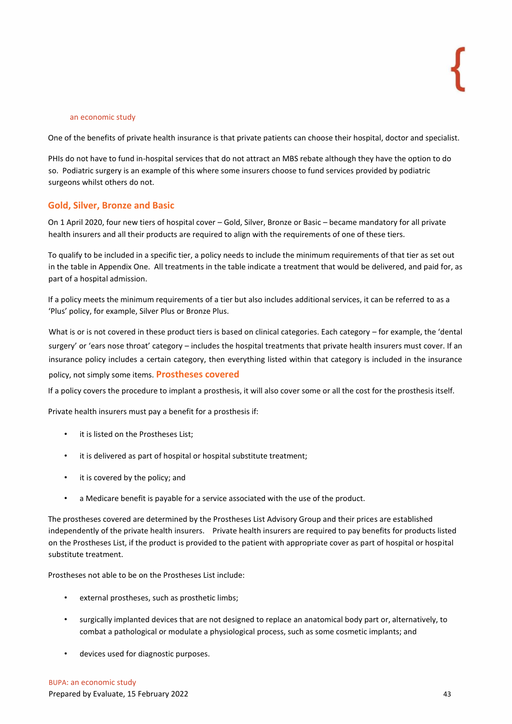#### an economic study

One of the benefits of private health insurance is that private patients can choose their hospital, doctor and specialist.

PHIs do not have to fund in-hospital services that do not attract an MBS rebate although they have the option to do so. Podiatric surgery is an example of this where some insurers choose to fund services provided by podiatric surgeons whilst others do not.

#### **Gold, Silver, Bronze and Basic**

On 1 April 2020, four new tiers of hospital cover – Gold, Silver, Bronze or Basic – became mandatory for all private health insurers and all their products are required to align with the requirements of one of these tiers.

To qualify to be included in a specific tier, a policy needs to include the minimum requirements of that tier as set out in the table in Appendix One. All treatments in the table indicate a treatment that would be delivered, and paid for, as part of a hospital admission.

If a policy meets the minimum requirements of a tier but also includes additional services, it can be referred to as a 'Plus' policy, for example, Silver Plus or Bronze Plus.

What is or is not covered in these product tiers is based on clinical categories. Each category – for example, the 'dental surgery' or 'ears nose throat' category – includes the hospital treatments that private health insurers must cover. If an insurance policy includes a certain category, then everything listed within that category is included in the insurance policy, not simply some items. **Prostheses covered** 

If a policy covers the procedure to implant a prosthesis, it will also cover some or all the cost for the prosthesis itself.

Private health insurers must pay a benefit for a prosthesis if:

- it is listed on the Prostheses List;
- it is delivered as part of hospital or hospital substitute treatment;
- it is covered by the policy; and
- a Medicare benefit is payable for a service associated with the use of the product.

The prostheses covered are determined by the Prostheses List Advisory Group and their prices are established independently of the private health insurers. Private health insurers are required to pay benefits for products listed on the Prostheses List, if the product is provided to the patient with appropriate cover as part of hospital or hospital substitute treatment.

Prostheses not able to be on the Prostheses List include:

- external prostheses, such as prosthetic limbs;
- surgically implanted devices that are not designed to replace an anatomical body part or, alternatively, to combat a pathological or modulate a physiological process, such as some cosmetic implants; and
- devices used for diagnostic purposes.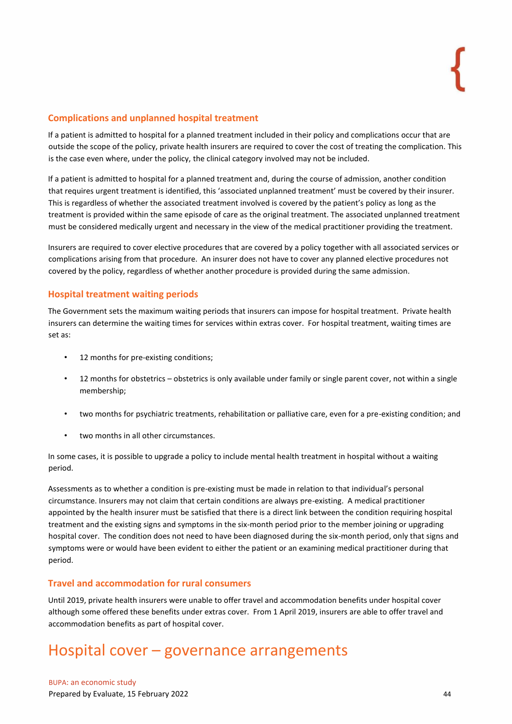#### **Complications and unplanned hospital treatment**

If a patient is admitted to hospital for a planned treatment included in their policy and complications occur that are outside the scope of the policy, private health insurers are required to cover the cost of treating the complication. This is the case even where, under the policy, the clinical category involved may not be included.

If a patient is admitted to hospital for a planned treatment and, during the course of admission, another condition that requires urgent treatment is identified, this 'associated unplanned treatment' must be covered by their insurer. This is regardless of whether the associated treatment involved is covered by the patient's policy as long as the treatment is provided within the same episode of care as the original treatment. The associated unplanned treatment must be considered medically urgent and necessary in the view of the medical practitioner providing the treatment.

Insurers are required to cover elective procedures that are covered by a policy together with all associated services or complications arising from that procedure. An insurer does not have to cover any planned elective procedures not covered by the policy, regardless of whether another procedure is provided during the same admission.

#### **Hospital treatment waiting periods**

The Government sets the maximum waiting periods that insurers can impose for hospital treatment. Private health insurers can determine the waiting times for services within extras cover. For hospital treatment, waiting times are set as:

- 12 months for pre-existing conditions;
- 12 months for obstetrics obstetrics is only available under family or single parent cover, not within a single membership;
- two months for psychiatric treatments, rehabilitation or palliative care, even for a pre-existing condition; and
- two months in all other circumstances.

In some cases, it is possible to upgrade a policy to include mental health treatment in hospital without a waiting period.

Assessments as to whether a condition is pre-existing must be made in relation to that individual's personal circumstance. Insurers may not claim that certain conditions are always pre-existing. A medical practitioner appointed by the health insurer must be satisfied that there is a direct link between the condition requiring hospital treatment and the existing signs and symptoms in the six-month period prior to the member joining or upgrading hospital cover. The condition does not need to have been diagnosed during the six-month period, only that signs and symptoms were or would have been evident to either the patient or an examining medical practitioner during that period.

#### **Travel and accommodation for rural consumers**

Until 2019, private health insurers were unable to offer travel and accommodation benefits under hospital cover although some offered these benefits under extras cover. From 1 April 2019, insurers are able to offer travel and accommodation benefits as part of hospital cover.

### Hospital cover – governance arrangements

BUPA: an economic study Prepared by Evaluate, 15 February 2022 44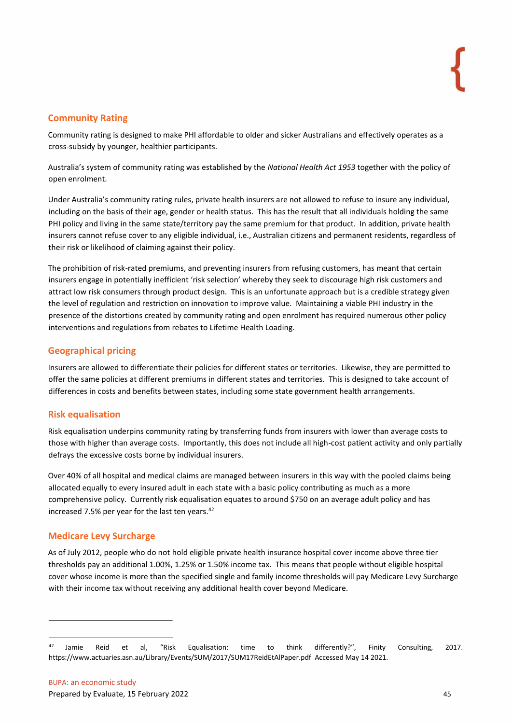#### **Community Rating**

Community rating is designed to make PHI affordable to older and sicker Australians and effectively operates as a cross-subsidy by younger, healthier participants.

Australia's system of community rating was established by the *National Health Act 1953* together with the policy of open enrolment.

Under Australia's community rating rules, private health insurers are not allowed to refuse to insure any individual, including on the basis of their age, gender or health status. This has the result that all individuals holding the same PHI policy and living in the same state/territory pay the same premium for that product. In addition, private health insurers cannot refuse cover to any eligible individual, i.e., Australian citizens and permanent residents, regardless of their risk or likelihood of claiming against their policy.

The prohibition of risk-rated premiums, and preventing insurers from refusing customers, has meant that certain insurers engage in potentially inefficient 'risk selection' whereby they seek to discourage high risk customers and attract low risk consumers through product design. This is an unfortunate approach but is a credible strategy given the level of regulation and restriction on innovation to improve value. Maintaining a viable PHI industry in the presence of the distortions created by community rating and open enrolment has required numerous other policy interventions and regulations from rebates to Lifetime Health Loading.

#### **Geographical pricing**

Insurers are allowed to differentiate their policies for different states or territories. Likewise, they are permitted to offer the same policies at different premiums in different states and territories. This is designed to take account of differences in costs and benefits between states, including some state government health arrangements.

#### **Risk equalisation**

Risk equalisation underpins community rating by transferring funds from insurers with lower than average costs to those with higher than average costs. Importantly, this does not include all high-cost patient activity and only partially defrays the excessive costs borne by individual insurers.

Over 40% of all hospital and medical claims are managed between insurers in this way with the pooled claims being allocated equally to every insured adult in each state with a basic policy contributing as much as a more comprehensive policy. Currently risk equalisation equates to around \$750 on an average adult policy and has increased 7.5% per year for the last ten years.<sup>42</sup>

#### **Medicare Levy Surcharge**

As of July 2012, people who do not hold eligible private health insurance hospital cover income above three tier thresholds pay an additional 1.00%, 1.25% or 1.50% income tax. This means that people without eligible hospital cover whose income is more than the specified single and family income thresholds will pay Medicare Levy Surcharge with their income tax without receiving any additional health cover beyond Medicare.

<sup>42</sup> Jamie Reid et al, "Risk Equalisation: time to think differently?", Finity Consulting, 2017. https://www.actuaries.asn.au/Library/Events/SUM/2017/SUM17ReidEtAlPaper.pdf Accessed May 14 2021.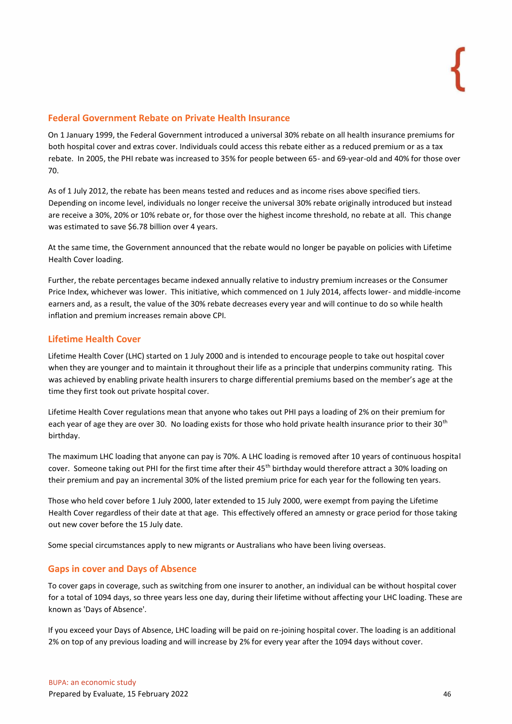#### **Federal Government Rebate on Private Health Insurance**

On 1 January 1999, the Federal Government introduced a universal 30% rebate on all health insurance premiums for both hospital cover and extras cover. Individuals could access this rebate either as a reduced premium or as a tax rebate. In 2005, the PHI rebate was increased to 35% for people between 65- and 69-year-old and 40% for those over 70.

As of 1 July 2012, the rebate has been means tested and reduces and as income rises above specified tiers. Depending on income level, individuals no longer receive the universal 30% rebate originally introduced but instead are receive a 30%, 20% or 10% rebate or, for those over the highest income threshold, no rebate at all. This change was estimated to save \$6.78 billion over 4 years.

At the same time, the Government announced that the rebate would no longer be payable on policies with Lifetime Health Cover loading.

Further, the rebate percentages became indexed annually relative to industry premium increases or the Consumer Price Index, whichever was lower. This initiative, which commenced on 1 July 2014, affects lower- and middle-income earners and, as a result, the value of the 30% rebate decreases every year and will continue to do so while health inflation and premium increases remain above CPI.

#### **Lifetime Health Cover**

Lifetime Health Cover (LHC) started on 1 July 2000 and is intended to encourage people to take out hospital cover when they are younger and to maintain it throughout their life as a principle that underpins community rating. This was achieved by enabling private health insurers to charge differential premiums based on the member's age at the time they first took out private hospital cover.

Lifetime Health Cover regulations mean that anyone who takes out PHI pays a loading of 2% on their premium for each year of age they are over 30. No loading exists for those who hold private health insurance prior to their 30<sup>th</sup> birthday.

The maximum LHC loading that anyone can pay is 70%. A LHC loading is removed after 10 years of continuous hospital cover. Someone taking out PHI for the first time after their 45<sup>th</sup> birthday would therefore attract a 30% loading on their premium and pay an incremental 30% of the listed premium price for each year for the following ten years.

Those who held cover before 1 July 2000, later extended to 15 July 2000, were exempt from paying the Lifetime Health Cover regardless of their date at that age. This effectively offered an amnesty or grace period for those taking out new cover before the 15 July date.

Some special circumstances apply to new migrants or Australians who have been living overseas.

#### **Gaps in cover and Days of Absence**

To cover gaps in coverage, such as switching from one insurer to another, an individual can be without hospital cover for a total of 1094 days, so three years less one day, during their lifetime without affecting your LHC loading. These are known as 'Days of Absence'.

If you exceed your Days of Absence, LHC loading will be paid on re-joining hospital cover. The loading is an additional 2% on top of any previous loading and will increase by 2% for every year after the 1094 days without cover.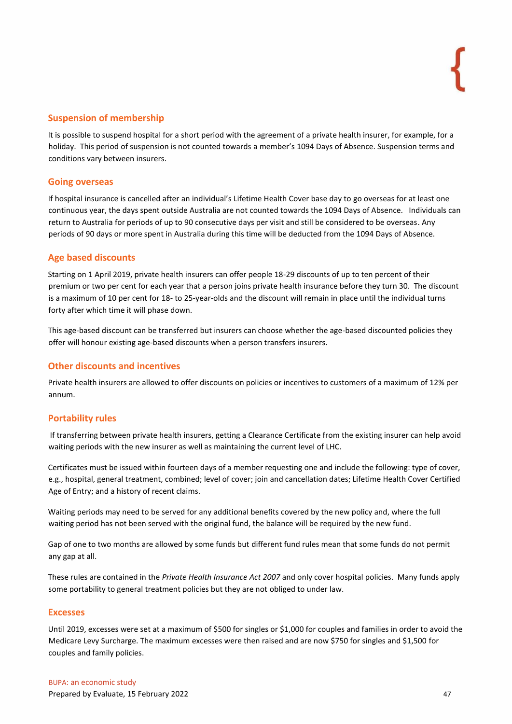#### **Suspension of membership**

It is possible to suspend hospital for a short period with the agreement of a private health insurer, for example, for a holiday. This period of suspension is not counted towards a member's 1094 Days of Absence. Suspension terms and conditions vary between insurers.

#### **Going overseas**

If hospital insurance is cancelled after an individual's Lifetime Health Cover base day to go overseas for at least one continuous year, the days spent outside Australia are not counted towards the 1094 Days of Absence. Individuals can return to Australia for periods of up to 90 consecutive days per visit and still be considered to be overseas. Any periods of 90 days or more spent in Australia during this time will be deducted from the 1094 Days of Absence.

#### **Age based discounts**

Starting on 1 April 2019, private health insurers can offer people 18-29 discounts of up to ten percent of their premium or two per cent for each year that a person joins private health insurance before they turn 30. The discount is a maximum of 10 per cent for 18- to 25-year-olds and the discount will remain in place until the individual turns forty after which time it will phase down.

This age-based discount can be transferred but insurers can choose whether the age-based discounted policies they offer will honour existing age-based discounts when a person transfers insurers.

#### **Other discounts and incentives**

Private health insurers are allowed to offer discounts on policies or incentives to customers of a maximum of 12% per annum.

#### **Portability rules**

If transferring between private health insurers, getting a Clearance Certificate from the existing insurer can help avoid waiting periods with the new insurer as well as maintaining the current level of LHC.

Certificates must be issued within fourteen days of a member requesting one and include the following: type of cover, e.g., hospital, general treatment, combined; level of cover; join and cancellation dates; Lifetime Health Cover Certified Age of Entry; and a history of recent claims.

Waiting periods may need to be served for any additional benefits covered by the new policy and, where the full waiting period has not been served with the original fund, the balance will be required by the new fund.

Gap of one to two months are allowed by some funds but different fund rules mean that some funds do not permit any gap at all.

These rules are contained in the *Private Health Insurance Act 2007* and only cover hospital policies. Many funds apply some portability to general treatment policies but they are not obliged to under law.

#### **Excesses**

Until 2019, excesses were set at a maximum of \$500 for singles or \$1,000 for couples and families in order to avoid the Medicare Levy Surcharge. The maximum excesses were then raised and are now \$750 for singles and \$1,500 for couples and family policies.

#### BUPA: an economic study

Prepared by Evaluate, 15 February 2022 47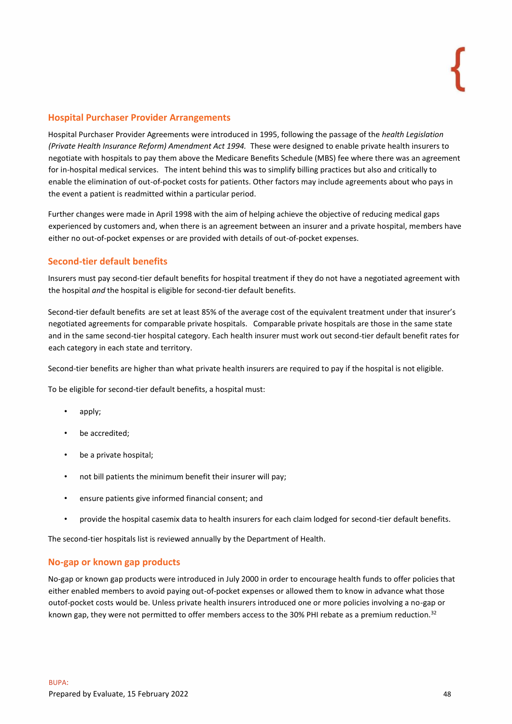#### **Hospital Purchaser Provider Arrangements**

Hospital Purchaser Provider Agreements were introduced in 1995, following the passage of the *health Legislation (Private Health Insurance Reform) Amendment Act 1994.* These were designed to enable private health insurers to negotiate with hospitals to pay them above the Medicare Benefits Schedule (MBS) fee where there was an agreement for in-hospital medical services. The intent behind this was to simplify billing practices but also and critically to enable the elimination of out-of-pocket costs for patients. Other factors may include agreements about who pays in the event a patient is readmitted within a particular period.

Further changes were made in April 1998 with the aim of helping achieve the objective of reducing medical gaps experienced by customers and, when there is an agreement between an insurer and a private hospital, members have either no out-of-pocket expenses or are provided with details of out-of-pocket expenses.

#### **Second-tier default benefits**

Insurers must pay second-tier default benefits for hospital treatment if they do not have a negotiated agreement with the hospital *and* the hospital is eligible for second-tier default benefits.

Second-tier default benefits are set at least 85% of the average cost of the equivalent treatment under that insurer's negotiated agreements for comparable private hospitals. Comparable private hospitals are those in the same state and in the same second-tier hospital category. Each health insurer must work out second-tier default benefit rates for each category in each state and territory.

Second-tier benefits are higher than what private health insurers are required to pay if the hospital is not eligible.

To be eligible for second-tier default benefits, a hospital must:

- apply;
- be accredited;
- be a private hospital;
- not bill patients the minimum benefit their insurer will pay;
- ensure patients give informed financial consent; and
- provide the hospital casemix data to health insurers for each claim lodged for second-tier default benefits.

The second-tier hospitals list is reviewed annually by the Department of Health.

#### **No-gap or known gap products**

No-gap or known gap products were introduced in July 2000 in order to encourage health funds to offer policies that either enabled members to avoid paying out-of-pocket expenses or allowed them to know in advance what those outof-pocket costs would be. Unless private health insurers introduced one or more policies involving a no-gap or known gap, they were not permitted to offer members access to the 30% PHI rebate as a premium reduction.<sup>32</sup>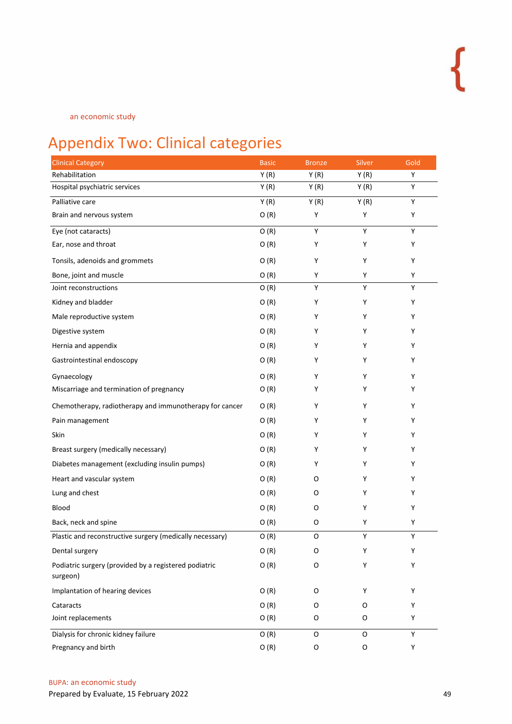an economic study

# <span id="page-48-0"></span>Appendix Two: Clinical categories

| <b>Clinical Category</b>                                          | <b>Basic</b> | <b>Bronze</b> | Silver | Gold |
|-------------------------------------------------------------------|--------------|---------------|--------|------|
| Rehabilitation                                                    | Y(R)         | Y(R)          | Y(R)   | Υ    |
| Hospital psychiatric services                                     | Y(R)         | Y(R)          | Y(R)   | Y    |
| Palliative care                                                   | Y(R)         | Y(R)          | Y(R)   | Y    |
| Brain and nervous system                                          | O(R)         | Υ             | Υ      | Υ    |
| Eye (not cataracts)                                               | O(R)         | Y             | Υ      | Υ    |
| Ear, nose and throat                                              | O(R)         | Y             | Υ      | Υ    |
| Tonsils, adenoids and grommets                                    | O(R)         | Υ             | Υ      | Υ    |
| Bone, joint and muscle                                            | O(R)         | Υ             | Υ      | Υ    |
| Joint reconstructions                                             | O(R)         | Y             | Υ      | Υ    |
| Kidney and bladder                                                | O(R)         | Υ             | Υ      | Υ    |
| Male reproductive system                                          | O(R)         | Y             | Υ      | Υ    |
| Digestive system                                                  | O(R)         | Y             | Υ      | Υ    |
| Hernia and appendix                                               | O(R)         | Υ             | Υ      | Υ    |
| Gastrointestinal endoscopy                                        | O(R)         | Υ             | Υ      | Υ    |
| Gynaecology                                                       | O(R)         | Υ             | Υ      | Υ    |
| Miscarriage and termination of pregnancy                          | O(R)         | Υ             | Υ      | Υ    |
| Chemotherapy, radiotherapy and immunotherapy for cancer           | O(R)         | Y             | Υ      | Υ    |
| Pain management                                                   | O(R)         | Υ             | Υ      | Y    |
| Skin                                                              | O(R)         | Y             | Υ      | Υ    |
| Breast surgery (medically necessary)                              | O(R)         | Υ             | Υ      | Υ    |
| Diabetes management (excluding insulin pumps)                     | O(R)         | Υ             | Υ      | Y    |
| Heart and vascular system                                         | O(R)         | O             | Υ      | Υ    |
| Lung and chest                                                    | O(R)         | O             | Υ      | Y    |
| <b>Blood</b>                                                      | O(R)         | O             | Υ      | Υ    |
| Back, neck and spine                                              | O(R)         | O             | Υ      | Υ    |
| Plastic and reconstructive surgery (medically necessary)          | O(R)         | O             | Y      | Y    |
| Dental surgery                                                    | O(R)         | O             | Υ      | Υ    |
| Podiatric surgery (provided by a registered podiatric<br>surgeon) | O(R)         | O             | Υ      | Υ    |
| Implantation of hearing devices                                   | O(R)         | O             | Υ      | Υ    |
| Cataracts                                                         | O(R)         | O             | O      | Υ    |
| Joint replacements                                                | O(R)         | O             | O      | Υ    |
| Dialysis for chronic kidney failure                               | O(R)         | O             | O      | Υ    |
| Pregnancy and birth                                               | O(R)         | O             | 0      | Υ    |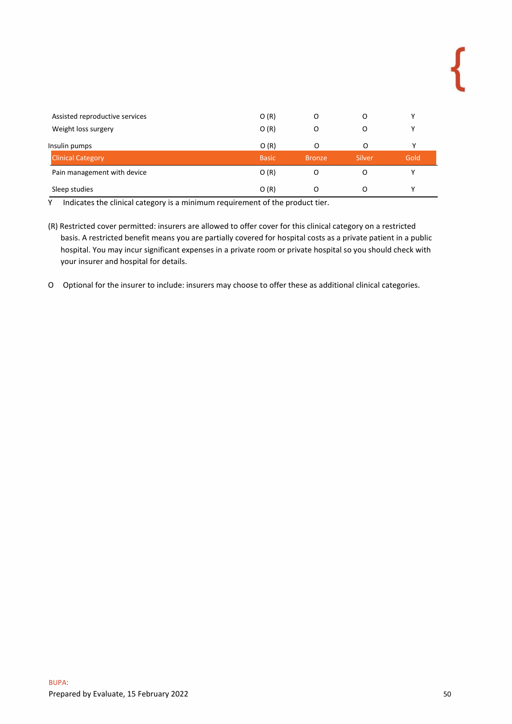| Assisted reproductive services | O(R)         | O             |        | v    |
|--------------------------------|--------------|---------------|--------|------|
| Weight loss surgery            | O(R)         | O             |        | v    |
| Insulin pumps                  | O(R)         | O             | Ο      | Υ    |
| <b>Clinical Category</b>       | <b>Basic</b> | <b>Bronze</b> | Silver | Gold |
|                                |              |               |        |      |
| Pain management with device    | O(R)         | O             |        | v    |

Y Indicates the clinical category is a minimum requirement of the product tier.

(R) Restricted cover permitted: insurers are allowed to offer cover for this clinical category on a restricted basis. A restricted benefit means you are partially covered for hospital costs as a private patient in a public hospital. You may incur significant expenses in a private room or private hospital so you should check with your insurer and hospital for details.

O Optional for the insurer to include: insurers may choose to offer these as additional clinical categories.